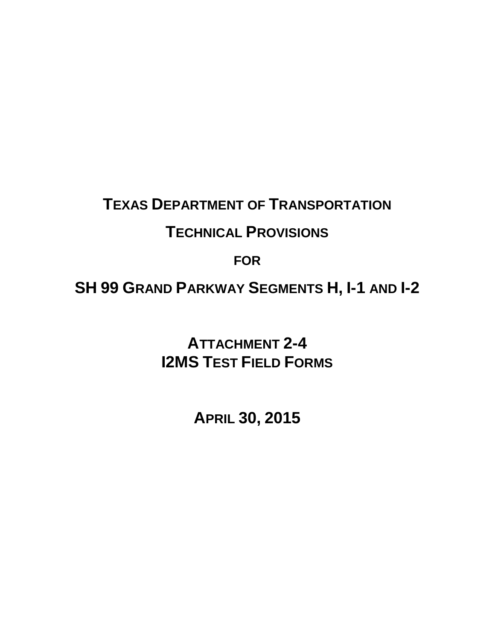## **TEXAS DEPARTMENT OF TRANSPORTATION**

## **TECHNICAL PROVISIONS**

## **FOR**

**SH 99 GRAND PARKWAY SEGMENTS H, I-1 AND I-2**

**ATTACHMENT 2-4 I2MS TEST FIELD FORMS** 

**APRIL 30, 2015**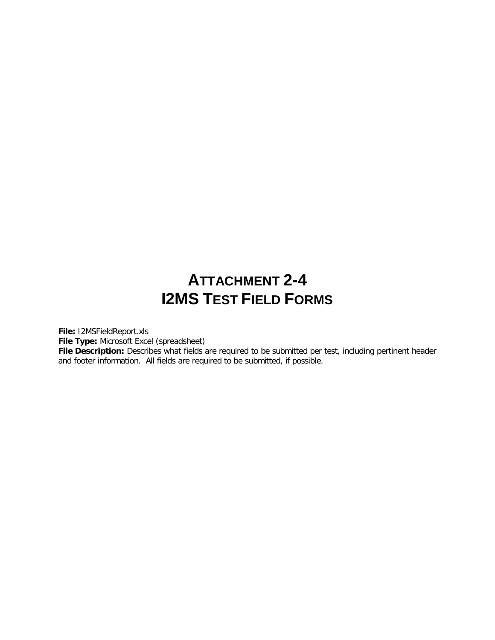## **ATTACHMENT 2-4 I2MS TEST FIELD FORMS**

**File:** I2MSFieldReport.xls

**File Type:** Microsoft Excel (spreadsheet)

File Description: Describes what fields are required to be submitted per test, including pertinent header and footer information. All fields are required to be submitted, if possible.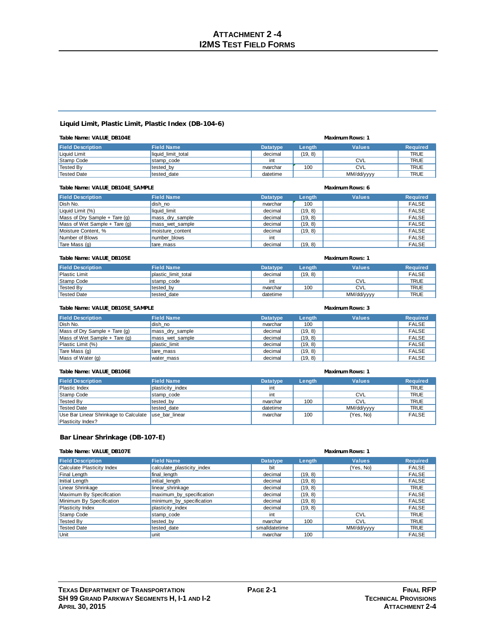### **Liquid Limit, Plastic Limit, Plastic Index (DB-104-6)**

| Table Name: VALUE DB104E | Maximum Rows: 1    |                 |         |               |                 |
|--------------------------|--------------------|-----------------|---------|---------------|-----------------|
| <b>Field Description</b> | <b>Field Name</b>  | <b>Datatype</b> | Length  | <b>Values</b> | <b>Required</b> |
| Liquid Limit             | liquid limit total | decimal         | (19, 8) |               | <b>TRUE</b>     |
| Stamp Code               | stamp code         | int             |         | <b>CVL</b>    | <b>TRUE</b>     |
| Tested By                | tested by          | nvarchar        | 100     | <b>CVL</b>    | <b>TRUE</b>     |
| <b>Tested Date</b>       | tested date        | datetime        |         | MM/dd/yyyy    | <b>TRUE</b>     |

| Table Name: VALUE DB104E SAMPLE |                   | Maximum Rows: 6 |         |               |                 |
|---------------------------------|-------------------|-----------------|---------|---------------|-----------------|
| <b>Field Description</b>        | <b>Field Name</b> | <b>Datatype</b> | Length  | <b>Values</b> | <b>Required</b> |
| Dish No.                        | dish no           | nvarchar        | 100     |               | <b>FALSE</b>    |
| Liquid Limit (%)                | liquid limit      | decimal         | (19, 8) |               | <b>FALSE</b>    |
| Mass of Dry Sample $+$ Tare (q) | mass dry sample   | decimal         | (19, 8) |               | <b>FALSE</b>    |
| Mass of Wet Sample $+$ Tare (q) | mass wet sample   | decimal         | (19, 8) |               | <b>FALSE</b>    |
| Moisture Content. %             | moisture content  | decimal         | (19, 8) |               | <b>FALSE</b>    |
| Number of Blows                 | number blows      | int             |         |               | <b>FALSE</b>    |
| Tare Mass(q)                    | tare mass         | decimal         | (19, 8) |               | <b>FALSE</b>    |

| Table Name: VALUE DB105E |                     | <b>Maximum Rows: 1</b> |         |               |                 |  |
|--------------------------|---------------------|------------------------|---------|---------------|-----------------|--|
| <b>Field Description</b> | <b>Field Name</b>   | <b>Datatype</b>        | Length  | <b>Values</b> | <b>Required</b> |  |
| <b>Plastic Limit</b>     | plastic limit total | decimal                | (19, 8) |               | <b>FALSE</b>    |  |
| Stamp Code               | stamp code          | int                    |         | CVL           | <b>TRUE</b>     |  |
| Tested By                | tested by           | nvarchar               | 100     | <b>CVL</b>    | <b>TRUE</b>     |  |
| <sup>I</sup> Tested Date | tested date         | datetime               |         | MM/dd/yyyy    | <b>TRUE</b>     |  |

| Table Name: VALUE DB105E SAMPLE |                   | <b>Maximum Rows: 3</b> |         |               |                 |
|---------------------------------|-------------------|------------------------|---------|---------------|-----------------|
| <b>Field Description</b>        | <b>Field Name</b> | <b>Datatype</b>        | Length  | <b>Values</b> | <b>Required</b> |
| Dish No.                        | dish no           | nvarchar               | 100     |               | <b>FALSE</b>    |
| Mass of Dry Sample $+$ Tare (g) | mass dry sample   | decimal                | (19, 8) |               | <b>FALSE</b>    |
| Mass of Wet Sample $+$ Tare (g) | mass wet sample   | decimal                | (19, 8) |               | <b>FALSE</b>    |
| Plastic Limit (%)               | plastic limit     | decimal                | (19, 8) |               | <b>FALSE</b>    |
| Tare Mass (g)                   | tare mass         | decimal                | (19, 8) |               | <b>FALSE</b>    |
| Mass of Water (g)               | water mass        | decimal                | (19, 8) |               | <b>FALSE</b>    |

### **Table Name: VALUE\_DB106E Maximum Rows: 1**

| <b>Field Description</b>                             | <b>Field Name</b> | <b>Datatype</b> | Length | <b>Values</b> | <b>Required</b> |
|------------------------------------------------------|-------------------|-----------------|--------|---------------|-----------------|
| <b>Plastic Index</b>                                 | plasticity index  | int             |        |               | <b>TRUE</b>     |
| Stamp Code                                           | stamp code        | int             |        | <b>CVL</b>    | <b>TRUE</b>     |
| <b>Tested By</b>                                     | tested by         | nvarchar        | 100    | <b>CVL</b>    | <b>TRUE</b>     |
| <b>Tested Date</b>                                   | tested date       | datetime        |        | MM/dd/yyyy    | <b>TRUE</b>     |
| Use Bar Linear Shrinkage to Calculate use bar linear |                   | nvarchar        | 100    | {Yes, No}     | <b>FALSE</b>    |
| Plasticity Index?                                    |                   |                 |        |               |                 |

### **Bar Linear Shrinkage (DB-107-E)**

### **Table Name: VALUE\_DB107E Maximum Rows: 1**

| <b>Field Description</b>   | <b>Field Name</b>          | <b>Datatype</b> | Length  | <b>Values</b> | <b>Required</b> |
|----------------------------|----------------------------|-----------------|---------|---------------|-----------------|
| Calculate Plasticity Index | calculate plasticity index | bit             |         | {Yes, No}     | FALSE           |
| Final Length               | final_length               | decimal         | (19, 8) |               | <b>FALSE</b>    |
| Initial Length             | initial length             | decimal         | (19, 8) |               | <b>FALSE</b>    |
| Linear Shrinkage           | linear shrinkage           | decimal         | (19, 8) |               | <b>TRUE</b>     |
| Maximum By Specification   | maximum_by_specification   | decimal         | (19, 8) |               | <b>FALSE</b>    |
| Minimum By Specification   | minimum by specification   | decimal         | (19, 8) |               | <b>FALSE</b>    |
| Plasticity Index           | plasticity index           | decimal         | (19, 8) |               | <b>FALSE</b>    |
| Stamp Code                 | stamp code                 | int             |         | <b>CVL</b>    | <b>TRUE</b>     |
| Tested By                  | tested by                  | nvarchar        | 100     | <b>CVL</b>    | <b>TRUE</b>     |
| Tested Date                | tested date                | smalldatetime   |         | MM/dd/yyyy    | <b>TRUE</b>     |
| Unit                       | lunit                      | nvarchar        | 100     |               | <b>FALSE</b>    |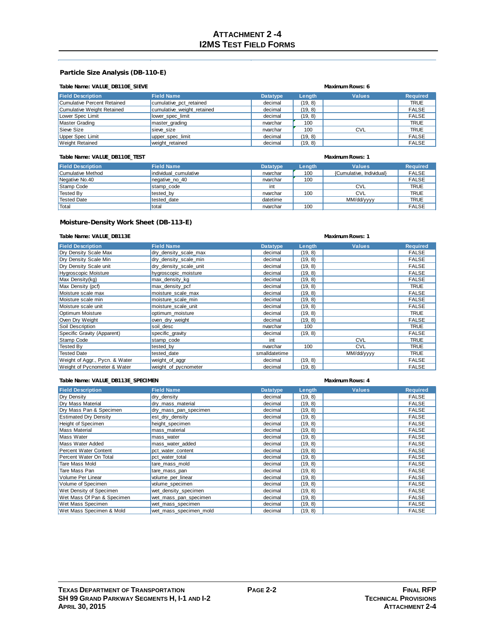### **Particle Size Analysis (DB-110-E)**

### **Table Name: VALUE\_DB110E\_SIEVE Maximum Rows: 6**

| <b>Field Description</b>    | <b>Field Name</b>          | <b>Datatype</b> | Lenath  | <b>Values</b> | <b>Required</b> |
|-----------------------------|----------------------------|-----------------|---------|---------------|-----------------|
| Cumulative Percent Retained | cumulative pct retained    | decimal         | (19, 8) |               | <b>TRUE</b>     |
| Cumulative Weight Retained  | cumulative weight retained | decimal         | (19, 8) |               | <b>FALSE</b>    |
| Lower Spec Limit            | lower spec limit           | decimal         | (19, 8) |               | <b>FALSE</b>    |
| Master Grading              | master grading             | nvarchar        | 100     |               | <b>TRUE</b>     |
| Sieve Size                  | sieve size                 | nvarchar        | 100     | <b>CVL</b>    | <b>TRUE</b>     |
| Upper Spec Limit            | upper_spec_limit           | decimal         | (19, 8) |               | <b>FALSE</b>    |
| <b>Weight Retained</b>      | weight retained            | decimal         | (19, 8) |               | <b>FALSE</b>    |

### **Table Name: VALUE\_DB110E\_TEST Maximum Rows: 1**

| <b>Field Description</b> | <b>Field Name</b>     | <b>Datatype</b> | Length | <b>Values</b>            | <b>Required</b> |
|--------------------------|-----------------------|-----------------|--------|--------------------------|-----------------|
| Cumulative Method        | individual cumulative | nvarchar        | 100    | {Cumulative, Individual} | <b>FALSE</b>    |
| Negative No.40           | negative no 40        | nvarchar        | 100    |                          | <b>FALSE</b>    |
| Stamp Code               | stamp code            | int             |        | <b>CVL</b>               | <b>TRUE</b>     |
| Tested By                | tested by             | nvarchar        | 100    | <b>CVL</b>               | <b>TRUE</b>     |
| Tested Date              | tested date           | datetime        |        | MM/dd/yyyy               | <b>TRUE</b>     |
| Total                    | total                 | nvarchar        | 100    |                          | <b>FALSE</b>    |

### **Moisture-Density Work Sheet (DB-113-E)**

### **Table Name: VALUE\_DB113E Maximum Rows: 1**

| <b>Field Description</b>       | <b>Field Name</b>      | <b>Datatype</b> | Length  | <b>Values</b> | <b>Required</b> |
|--------------------------------|------------------------|-----------------|---------|---------------|-----------------|
| Dry Density Scale Max          | dry_density_scale_max  | decimal         | (19, 8) |               | <b>FALSE</b>    |
| Dry Density Scale Min          | dry density scale min  | decimal         | (19, 8) |               | <b>FALSE</b>    |
| Dry Density Scale unit         | dry density scale unit | decimal         | (19, 8) |               | <b>FALSE</b>    |
| Hygroscopic Moisture           | hygroscopic moisture   | decimal         | (19, 8) |               | <b>FALSE</b>    |
| Max Density (kg)               | max density kg         | decimal         | (19, 8) |               | <b>FALSE</b>    |
| Max Density (pcf)              | max density pcf        | decimal         | (19, 8) |               | <b>TRUE</b>     |
| Moisture scale max             | moisture scale max     | decimal         | (19, 8) |               | <b>FALSE</b>    |
| Moisture scale min             | moisture scale min     | decimal         | (19, 8) |               | <b>FALSE</b>    |
| Moisture scale unit            | moisture scale unit    | decimal         | (19, 8) |               | <b>FALSE</b>    |
| Optimum Moisture               | optimum moisture       | decimal         | (19, 8) |               | <b>TRUE</b>     |
| Oven Dry Weight                | oven dry weight        | decimal         | (19, 8) |               | <b>FALSE</b>    |
| Soil Description               | soil desc              | nvarchar        | 100     |               | <b>TRUE</b>     |
| Specific Gravity (Apparent)    | specific_gravity       | decimal         | (19, 8) |               | <b>FALSE</b>    |
| Stamp Code                     | stamp code             | int             |         | <b>CVL</b>    | <b>TRUE</b>     |
| <b>Tested By</b>               | tested by              | nvarchar        | 100     | <b>CVL</b>    | <b>TRUE</b>     |
| <b>Tested Date</b>             | tested date            | smalldatetime   |         | MM/dd/yyyy    | <b>TRUE</b>     |
| Weight of Aggr., Pycn. & Water | weight_of_aggr         | decimal         | (19, 8) |               | <b>FALSE</b>    |
| Weight of Pycnometer & Water   | weight of pycnometer   | decimal         | (19, 8) |               | <b>FALSE</b>    |

### **Table Name: VALUE\_DB113E\_SPECIMEN Maximum Rows: 4**

| <b>Field Description</b>     | <b>Field Name</b>      | <b>Datatype</b> | Length  | <b>Values</b> | <b>Required</b> |
|------------------------------|------------------------|-----------------|---------|---------------|-----------------|
| Dry Density                  | dry density            | decimal         | (19, 8) |               | <b>FALSE</b>    |
| Dry Mass Material            | dry mass material      | decimal         | (19, 8) |               | <b>FALSE</b>    |
| Dry Mass Pan & Specimen      | dry mass pan specimen  | decimal         | (19, 8) |               | <b>FALSE</b>    |
| <b>Estimated Dry Density</b> | est dry density        | decimal         | (19, 8) |               | <b>FALSE</b>    |
| Height of Specimen           | height specimen        | decimal         | (19, 8) |               | <b>FALSE</b>    |
| <b>Mass Material</b>         | mass material          | decimal         | (19, 8) |               | <b>FALSE</b>    |
| <b>Mass Water</b>            | mass water             | decimal         | (19, 8) |               | <b>FALSE</b>    |
| Mass Water Added             | mass water added       | decimal         | (19, 8) |               | <b>FALSE</b>    |
| Percent Water Content        | pct water content      | decimal         | (19, 8) |               | <b>FALSE</b>    |
| Percent Water On Total       | pct water total        | decimal         | (19, 8) |               | <b>FALSE</b>    |
| Tare Mass Mold               | tare mass mold         | decimal         | (19, 8) |               | <b>FALSE</b>    |
| Tare Mass Pan                | tare mass pan          | decimal         | (19, 8) |               | <b>FALSE</b>    |
| Volume Per Linear            | volume_per_linear      | decimal         | (19, 8) |               | <b>FALSE</b>    |
| Volume of Specimen           | volume_specimen        | decimal         | (19, 8) |               | <b>FALSE</b>    |
| Wet Density of Specimen      | wet_density_specimen   | decimal         | (19, 8) |               | <b>FALSE</b>    |
| Wet Mass Of Pan & Specimen   | wet_mass_pan_specimen  | decimal         | (19, 8) |               | <b>FALSE</b>    |
| Wet Mass Specimen            | wet mass specimen      | decimal         | (19, 8) |               | <b>FALSE</b>    |
| Wet Mass Specimen & Mold     | wet mass specimen mold | decimal         | (19, 8) |               | <b>FALSE</b>    |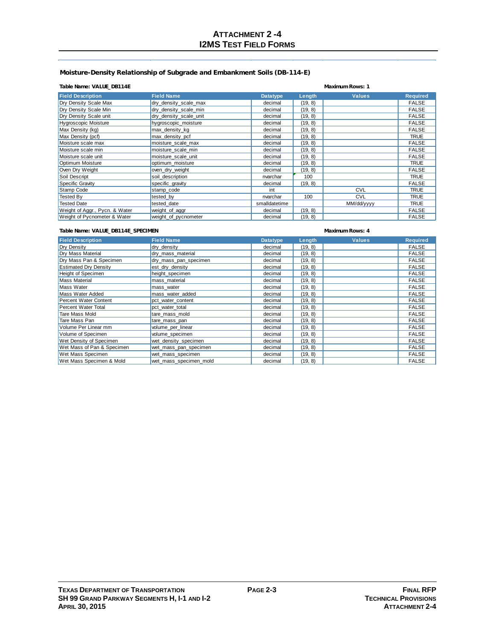### **Moisture-Density Relationship of Subgrade and Embankment Soils (DB-114-E)**

### **Table Name: VALUE\_DB114E Maximum Rows: 1**

| <b>Field Description</b>       | <b>Field Name</b>      | <b>Datatype</b> | Length  | <b>Values</b> | <b>Required</b> |
|--------------------------------|------------------------|-----------------|---------|---------------|-----------------|
| Dry Density Scale Max          | dry density scale max  | decimal         | (19, 8) |               | <b>FALSE</b>    |
| Dry Density Scale Min          | dry density scale min  | decimal         | (19, 8) |               | <b>FALSE</b>    |
| Dry Density Scale unit         | dry density scale unit | decimal         | (19, 8) |               | <b>FALSE</b>    |
| <b>Hygroscopic Moisture</b>    | hygroscopic moisture   | decimal         | (19, 8) |               | <b>FALSE</b>    |
| Max Density (kg)               | max density kg         | decimal         | (19, 8) |               | <b>FALSE</b>    |
| Max Density (pcf)              | max_density_pcf        | decimal         | (19, 8) |               | <b>TRUE</b>     |
| Moisture scale max             | moisture scale max     | decimal         | (19, 8) |               | <b>FALSE</b>    |
| Moisture scale min             | moisture scale min     | decimal         | (19, 8) |               | <b>FALSE</b>    |
| Moisture scale unit            | moisture scale unit    | decimal         | (19, 8) |               | <b>FALSE</b>    |
| Optimum Moisture               | optimum moisture       | decimal         | (19, 8) |               | <b>TRUE</b>     |
| Oven Dry Weight                | oven_dry_weight        | decimal         | (19, 8) |               | <b>FALSE</b>    |
| Soil Descript                  | soil description       | nvarchar        | 100     |               | <b>TRUE</b>     |
| Specific Gravity               | specific_gravity       | decimal         | (19, 8) |               | <b>FALSE</b>    |
| Stamp Code                     | stamp_code             | int             |         | <b>CVL</b>    | <b>TRUE</b>     |
| Tested By                      | tested by              | nvarchar        | 100     | <b>CVL</b>    | <b>TRUE</b>     |
| <b>Tested Date</b>             | tested date            | smalldatetime   |         | MM/dd/yyyy    | <b>TRUE</b>     |
| Weight of Aggr., Pycn. & Water | weight_of_aggr         | decimal         | (19, 8) |               | <b>FALSE</b>    |
| Weight of Pycnometer & Water   | weight_of_pycnometer   | decimal         | (19, 8) |               | <b>FALSE</b>    |

### **Table Name: VALUE\_DB114E\_SPECIMEN Maximum Rows: 4**

| <b>Field Description</b>     | <b>Field Name</b>      | <b>Datatype</b> | Length  | <b>Values</b> | <b>Required</b> |
|------------------------------|------------------------|-----------------|---------|---------------|-----------------|
| Dry Density                  | dry_density            | decimal         | (19, 8) |               | <b>FALSE</b>    |
| Drv Mass Material            | dry mass material      | decimal         | (19, 8) |               | <b>FALSE</b>    |
| Dry Mass Pan & Specimen      | dry_mass_pan_specimen  | decimal         | (19, 8) |               | <b>FALSE</b>    |
| <b>Estimated Dry Density</b> | est dry density        | decimal         | (19, 8) |               | <b>FALSE</b>    |
| Height of Specimen           | height_specimen        | decimal         | (19, 8) |               | <b>FALSE</b>    |
| <b>Mass Material</b>         | mass material          | decimal         | (19, 8) |               | <b>FALSE</b>    |
| <b>Mass Water</b>            | mass_water             | decimal         | (19, 8) |               | <b>FALSE</b>    |
| Mass Water Added             | mass water added       | decimal         | (19, 8) |               | <b>FALSE</b>    |
| Percent Water Content        | pct water content      | decimal         | (19, 8) |               | <b>FALSE</b>    |
| Percent Water Total          | pct water total        | decimal         | (19, 8) |               | <b>FALSE</b>    |
| Tare Mass Mold               | tare mass mold         | decimal         | (19, 8) |               | <b>FALSE</b>    |
| Tare Mass Pan                | tare mass pan          | decimal         | (19, 8) |               | <b>FALSE</b>    |
| Volume Per Linear mm         | volume per linear      | decimal         | (19, 8) |               | <b>FALSE</b>    |
| Volume of Specimen           | volume specimen        | decimal         | (19, 8) |               | <b>FALSE</b>    |
| Wet Density of Specimen      | wet density specimen   | decimal         | (19, 8) |               | <b>FALSE</b>    |
| Wet Mass of Pan & Specimen   | wet mass pan specimen  | decimal         | (19, 8) |               | <b>FALSE</b>    |
| Wet Mass Specimen            | wet mass specimen      | decimal         | (19, 8) |               | <b>FALSE</b>    |
| Wet Mass Specimen & Mold     | wet mass specimen mold | decimal         | (19, 8) |               | <b>FALSE</b>    |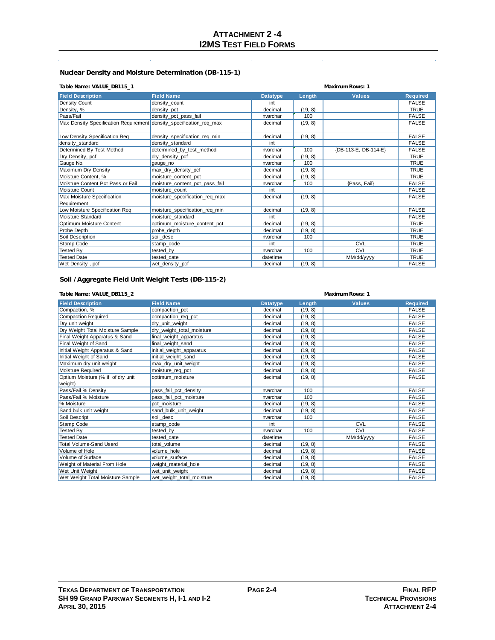## **Nuclear Density and Moisture Determination (DB-115-1)**

### **Table Name: VALUE\_DB115\_1 Maximum Rows: 1**

| <b>Field Description</b>                                            | <b>Field Name</b>              | <b>Datatype</b> | Lenath  | <b>Values</b>        | <b>Required</b> |
|---------------------------------------------------------------------|--------------------------------|-----------------|---------|----------------------|-----------------|
| Density Count                                                       | density count                  | int             |         |                      | <b>FALSE</b>    |
| Density, %                                                          | density_pct                    | decimal         | (19, 8) |                      | <b>TRUE</b>     |
| Pass/Fail                                                           | density_pct_pass_fail          | nvarchar        | 100     |                      | <b>FALSE</b>    |
| Max Density Specification Requirement density_specification_req_max |                                | decimal         | (19, 8) |                      | <b>FALSE</b>    |
| Low Density Specification Req                                       | density specification req min  | decimal         | (19, 8) |                      | <b>FALSE</b>    |
| density standard                                                    | density standard               | int             |         |                      | <b>FALSE</b>    |
| Determined By Test Method                                           | determined by test method      | nvarchar        | 100     | {DB-113-E, DB-114-E} | <b>FALSE</b>    |
| Dry Density, pcf                                                    | dry_density_pcf                | decimal         | (19, 8) |                      | <b>TRUE</b>     |
| Gauge No.                                                           | gauge no                       | nvarchar        | 100     |                      | <b>TRUE</b>     |
| Maximum Dry Density                                                 | max_dry_density_pcf            | decimal         | (19, 8) |                      | <b>TRUE</b>     |
| Moisture Content, %                                                 | moisture content pct           | decimal         | (19, 8) |                      | <b>TRUE</b>     |
| Moisture Content Pct Pass or Fail                                   | moisture_content_pct_pass_fail | nvarchar        | 100     | {Pass, Fail}         | <b>FALSE</b>    |
| Moisture Count                                                      | moisture count                 | int             |         |                      | <b>FALSE</b>    |
| Max Moisture Specification                                          | moisture specification reg max | decimal         | (19, 8) |                      | <b>FALSE</b>    |
| Requirement                                                         |                                |                 |         |                      |                 |
| Low Moisture Specification Req                                      | moisture_specification_req_min | decimal         | (19, 8) |                      | <b>FALSE</b>    |
| Moisture Standard                                                   | moisture_standard              | int             |         |                      | <b>FALSE</b>    |
| Optimum Moisture Content                                            | optimum moisture content pct   | decimal         | (19, 8) |                      | <b>TRUE</b>     |
| Probe Depth                                                         | probe depth                    | decimal         | (19, 8) |                      | <b>TRUE</b>     |
| Soil Description                                                    | soil desc                      | nvarchar        | 100     |                      | <b>TRUE</b>     |
| Stamp Code                                                          | stamp code                     | int             |         | CVL                  | <b>TRUE</b>     |
| <b>Tested By</b>                                                    | tested by                      | nvarchar        | 100     | <b>CVL</b>           | <b>TRUE</b>     |
| <b>Tested Date</b>                                                  | tested date                    | datetime        |         | MM/dd/yyyy           | <b>TRUE</b>     |
| Wet Density, pcf                                                    | wet density pcf                | decimal         | (19, 8) |                      | <b>FALSE</b>    |

### **Soil /Aggregate Field Unit Weight Tests (DB-115-2)**

| Table Name: VALUE_DB115_2         |                           | <b>Maximum Rows: 1</b> |         |               |                 |
|-----------------------------------|---------------------------|------------------------|---------|---------------|-----------------|
| <b>Field Description</b>          | <b>Field Name</b>         | <b>Datatype</b>        | Length  | <b>Values</b> | <b>Required</b> |
| Compaction, %                     | compaction pct            | decimal                | (19, 8) |               | <b>FALSE</b>    |
| <b>Compaction Required</b>        | compaction_req_pct        | decimal                | (19, 8) |               | <b>FALSE</b>    |
| Dry unit weight                   | dry_unit_weight           | decimal                | (19, 8) |               | <b>FALSE</b>    |
| Dry Weight Total Moisture Sample  | dry weight total moisture | decimal                | (19, 8) |               | <b>FALSE</b>    |
| Final Weight Apparatus & Sand     | final weight apparatus    | decimal                | (19, 8) |               | <b>FALSE</b>    |
| Final Weight of Sand              | final weight sand         | decimal                | (19, 8) |               | <b>FALSE</b>    |
| Initial Weight Apparatus & Sand   | initial weight_apparatus  | decimal                | (19, 8) |               | <b>FALSE</b>    |
| Initial Weight of Sand            | initial weight sand       | decimal                | (19, 8) |               | <b>FALSE</b>    |
| Maximum dry unit weight           | max_dry_unit_weight       | decimal                | (19, 8) |               | <b>FALSE</b>    |
| Moisture Required                 | moisture reg pct          | decimal                | (19, 8) |               | <b>FALSE</b>    |
| Optium Moisture (% if of dry unit | optimum moisture          | decimal                | (19, 8) |               | <b>FALSE</b>    |
| weight)                           |                           |                        |         |               |                 |
| Pass/Fail % Density               | pass_fail_pct_density     | nvarchar               | 100     |               | <b>FALSE</b>    |
| Pass/Fail % Moisture              | pass fail pct moisture    | nvarchar               | 100     |               | <b>FALSE</b>    |
| % Moisture                        | pct moisture              | decimal                | (19, 8) |               | <b>FALSE</b>    |
| Sand bulk unit weight             | sand_bulk_unit_weight     | decimal                | (19, 8) |               | <b>FALSE</b>    |
| Soil Descript                     | soil desc                 | nvarchar               | 100     |               | <b>FALSE</b>    |
| Stamp Code                        | stamp code                | int                    |         | <b>CVL</b>    | <b>FALSE</b>    |
| <b>Tested By</b>                  | tested by                 | nvarchar               | 100     | <b>CVL</b>    | <b>FALSE</b>    |
| <b>Tested Date</b>                | tested date               | datetime               |         | MM/dd/yyyy    | <b>FALSE</b>    |
| Total Volume-Sand Userd           | total volume              | decimal                | (19, 8) |               | <b>FALSE</b>    |
| Volume of Hole                    | volume hole               | decimal                | (19, 8) |               | <b>FALSE</b>    |
| Volume of Surface                 | volume surface            | decimal                | (19, 8) |               | <b>FALSE</b>    |
| Weight of Material From Hole      | weight material hole      | decimal                | (19, 8) |               | <b>FALSE</b>    |
| Wet Unit Weight                   | wet unit weight           | decimal                | (19, 8) |               | <b>FALSE</b>    |
| Wet Weight Total Moisture Sample  | wet weight total moisture | decimal                | (19, 8) |               | <b>FALSE</b>    |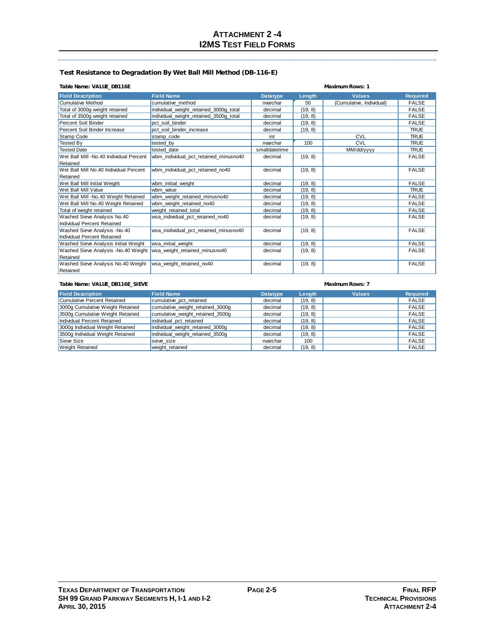### **Test Resistance to Degradation By Wet Ball Mill Method (DB-116-E)**

### **Table Name: VALUE\_DB116E Maximum Rows: 1**

| <b>Field Description</b>                | <b>Field Name</b>                      | <b>Datatype</b> | Length  | <b>Values</b>            | <b>Required</b> |
|-----------------------------------------|----------------------------------------|-----------------|---------|--------------------------|-----------------|
| <b>Cumulative Method</b>                | cumulative method                      | nvarchar        | 50      | {Cumulative, Individual} | <b>FALSE</b>    |
| Total of 3000g weight retained          | individual_weight_retained_3000g_total | decimal         | (19, 8) |                          | <b>FALSE</b>    |
| Total of 3500g weight retained          | individual weight retained 3500g total | decimal         | (19, 8) |                          | <b>FALSE</b>    |
| Percent Soil Binder                     | pct soil binder                        | decimal         | (19, 8) |                          | <b>FALSE</b>    |
| Percent Soil Binder Increase            | pct soil binder increase               | decimal         | (19, 8) |                          | <b>TRUE</b>     |
| Stamp Code                              | stamp code                             | int             |         | CVL                      | <b>TRUE</b>     |
| <b>Tested By</b>                        | tested by                              | nvarchar        | 100     | <b>CVL</b>               | <b>TRUE</b>     |
| <b>Tested Date</b>                      | tested date                            | smalldatetime   |         | MM/dd/yyyy               | <b>TRUE</b>     |
| Wet Ball Mill -No.40 Individual Percent | wbm individual pct retained minusno40  | decimal         | (19, 8) |                          | <b>FALSE</b>    |
| Retained                                |                                        |                 |         |                          |                 |
| Wet Ball Mill No.40 Individual Percent  | wbm_individual_pct_retained_no40       | decimal         | (19, 8) |                          | <b>FALSE</b>    |
| Retained                                |                                        |                 |         |                          |                 |
| Wet Ball Mill Initial Weight            | wbm_initial_weight                     | decimal         | (19, 8) |                          | <b>FALSE</b>    |
| Wet Ball Mill Value                     | wbm value                              | decimal         | (19, 8) |                          | <b>TRUE</b>     |
| Wet Ball Mill -No.40 Weight Retained    | wbm_weight_retained_minusno40          | decimal         | (19, 8) |                          | <b>FALSE</b>    |
| Wet Ball Mill No.40 Weight Retained     | wbm_weight_retained_no40               | decimal         | (19, 8) |                          | <b>FALSE</b>    |
| Total of weight retained                | weight retained total                  | decimal         | (19, 8) |                          | <b>FALSE</b>    |
| Washed Sieve Analysis No.40             | wsa individual pct retained no40       | decimal         | (19, 8) |                          | <b>FALSE</b>    |
| Individual Percent Retained             |                                        |                 |         |                          |                 |
| Washed Sieve Analysis -No.40            | wsa inidividual pct retained minusno40 | decimal         | (19, 8) |                          | <b>FALSE</b>    |
| Individual Percent Retained             |                                        |                 |         |                          |                 |
| Washed Sieve Analysis Initial Weight    | wsa initial weight                     | decimal         | (19, 8) |                          | <b>FALSE</b>    |
| Washed Sieve Analysis -No.40 Weight     | wsa_weight_retained_minusno40          | decimal         | (19, 8) |                          | <b>FALSE</b>    |
| Retained                                |                                        |                 |         |                          |                 |
| Washed Sieve Analysis No.40 Weight      | wsa weight retained no40               | decimal         | (19, 8) |                          | <b>FALSE</b>    |
| Retained                                |                                        |                 |         |                          |                 |

### **Table Name: VALUE\_DB116E\_SIEVE Maximum Rows: 7**

### **Field Description**<br> **Cumulative Percent Retained**<br> **Cumulative Percent Retained Cumulative pct\_retained Required Required Cumulative Percent Retained FALSE** Cumulative Percent Retained cumulative\_pct\_retained decimal decimal (19, 8) FALSE<br>3000g Cumulative Weight Retained cumulative\_weight\_retained\_3000g decimal (19, 8) FALSE 3000g Cumulative Weight Retained cumulative\_weight\_retained\_3000g decimal (19, 8) FALSE  $\begin{tabular}{c|c|c|c|c} \hline cumulative\_weight\_retained\_3500g & decimal & (19, 8) & \multicolumn{3}{c|}{\textbf{5.7}} \\ \hline \text{individual\_pot\_retained} & 3500g & decimal & (19, 8) & \multicolumn{3}{c|}{\textbf{5.7}} \\ \hline \end{tabular}$ Individual Percent Retained individual pct\_retained decimal decimal (19, 8) FALSE<br>3000g Individual Weight Retained individual\_weight\_retained\_3000g decimal (19, 8) FALSE 3000g Individual Weight Retained individual\_weight\_retained\_3000g decimal (19, 8) FALSE 3500g Individual Weight Retained individual\_weight\_retained\_3500g decimal (19, 8) FALSE Sieve Size sieve\_size nvarchar 100 FALSE FALSE Weight Retained weight\_retained weight\_retained decimal (19, 8) FALSE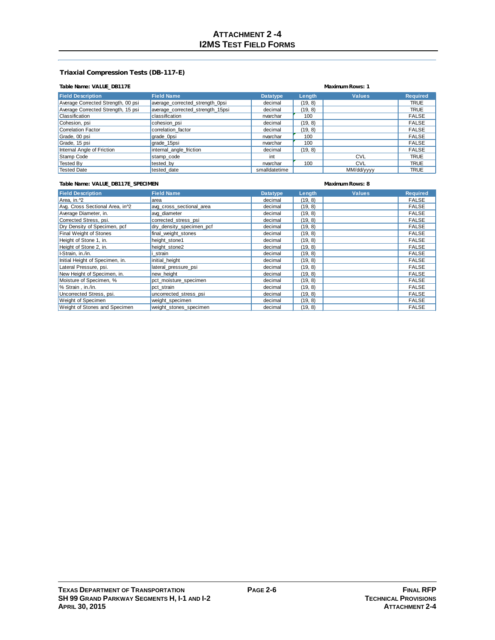### **Triaxial Compression Tests (DB-117-E)**

### **Table Name: VALUE\_DB117E Maximum Rows: 1**

| <b>Field Description</b>           | <b>Field Name</b>                | <b>Datatype</b> | Length  | <b>Values</b> | <b>Required</b> |
|------------------------------------|----------------------------------|-----------------|---------|---------------|-----------------|
| Average Corrected Strength, 00 psi | average corrected strength Opsi  | decimal         | (19, 8) |               | <b>TRUE</b>     |
| Average Corrected Strength, 15 psi | average corrected strength 15psi | decimal         | (19, 8) |               | <b>TRUE</b>     |
| Classification                     | classification                   | nvarchar        | 100     |               | <b>FALSE</b>    |
| Cohesion, psi                      | cohesion psi                     | decimal         | (19, 8) |               | <b>FALSE</b>    |
| Correlation Factor                 | correlation factor               | decimal         | (19, 8) |               | <b>FALSE</b>    |
| Grade, 00 psi                      | grade_0psi                       | nvarchar        | 100     |               | <b>FALSE</b>    |
| Grade, 15 psi                      | grade 15psi                      | nvarchar        | 100     |               | <b>FALSE</b>    |
| Internal Angle of Friction         | internal_angle_friction          | decimal         | (19, 8) |               | <b>FALSE</b>    |
| Stamp Code                         | stamp code                       | int             |         | <b>CVL</b>    | <b>TRUE</b>     |
| <b>Tested Bv</b>                   | tested by                        | nvarchar        | 100     | <b>CVL</b>    | <b>TRUE</b>     |
| <b>Tested Date</b>                 | tested date                      | smalldatetime   |         | MM/dd/yyyy    | <b>TRUE</b>     |

### **Table Name: VALUE\_DB117E\_SPECIMEN Maximum Rows: 8**

| <b>Field Description</b>                     | <b>Field Name</b>        | <b>Datatype</b> | Length  | <b>Values</b> | <b>Required</b> |
|----------------------------------------------|--------------------------|-----------------|---------|---------------|-----------------|
| Area, in. ^2                                 | area                     | decimal         | (19, 8) |               | <b>FALSE</b>    |
| Avg. Cross Sectional Area, in <sup>2</sup> 2 | avg_cross_sectional_area | decimal         | (19, 8) |               | <b>FALSE</b>    |
| Average Diameter, in.                        | avg diameter             | decimal         | (19, 8) |               | <b>FALSE</b>    |
| Corrected Stress, psi.                       | corrected stress psi     | decimal         | (19, 8) |               | <b>FALSE</b>    |
| Dry Density of Specimen, pcf                 | dry density specimen pcf | decimal         | (19, 8) |               | <b>FALSE</b>    |
| Final Weight of Stones                       | final weight stones      | decimal         | (19, 8) |               | <b>FALSE</b>    |
| Height of Stone 1, in.                       | height stone1            | decimal         | (19, 8) |               | <b>FALSE</b>    |
| Height of Stone 2, in.                       | height stone2            | decimal         | (19, 8) |               | <b>FALSE</b>    |
| I-Strain, in./in.                            | strain                   | decimal         | (19, 8) |               | <b>FALSE</b>    |
| Initial Height of Specimen, in.              | initial height           | decimal         | (19, 8) |               | <b>FALSE</b>    |
| Lateral Pressure, psi.                       | lateral pressure psi     | decimal         | (19, 8) |               | <b>FALSE</b>    |
| New Height of Specimen, in.                  | new height               | decimal         | (19, 8) |               | <b>FALSE</b>    |
| Moisture of Specimen, %                      | pct moisture specimen    | decimal         | (19, 8) |               | <b>FALSE</b>    |
| % Strain, in./in.                            | pct strain               | decimal         | (19, 8) |               | <b>FALSE</b>    |
| Uncorrected Stress, psi.                     | uncorrected stress psi   | decimal         | (19, 8) |               | <b>FALSE</b>    |
| Weight of Specimen                           | weight specimen          | decimal         | (19, 8) |               | <b>FALSE</b>    |
| Weight of Stones and Specimen                | weight stones specimen   | decimal         | (19, 8) |               | <b>FALSE</b>    |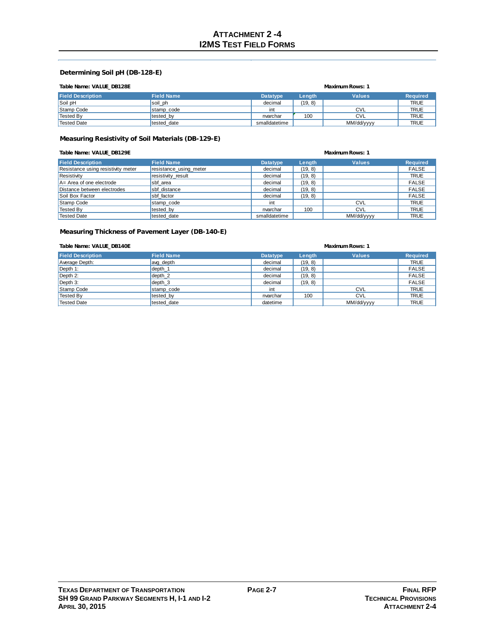### **Determining Soil pH (DB-128-E)**

|  | Table Name: VALUE DB128E |
|--|--------------------------|

| Table Name: VALUE_DB128E |                   | <b>Maximum Rows: 1</b> |         |               |                 |
|--------------------------|-------------------|------------------------|---------|---------------|-----------------|
| <b>Field Description</b> | <b>Field Name</b> | <b>Datatype</b>        | Length  | <b>Values</b> | <b>Required</b> |
| Soil pH                  | soil ph           | decimal                | (19, 8) |               | <b>TRUE</b>     |
| Stamp Code               | stamp code        | int                    |         | <b>CVL</b>    | <b>TRUE</b>     |
| Tested By                | tested by         | nvarchar               | 100     | <b>CVL</b>    | <b>TRUE</b>     |
| Tested Date              | tested date       | smalldatetime          |         | MM/dd/yyyy    | <b>TRUE</b>     |

### **Measuring Resistivity of Soil Materials (DB-129-E)**

| Table Name: VALUE DB129E           | <b>Maximum Rows: 1</b> |                 |         |               |                 |
|------------------------------------|------------------------|-----------------|---------|---------------|-----------------|
| <b>Field Description</b>           | <b>Field Name</b>      | <b>Datatype</b> | Length  | <b>Values</b> | <b>Required</b> |
| Resistance using resistivity meter | resistance_using_meter | decimal         | (19, 8) |               | FALSE           |
| Resistivity                        | resistivity result     | decimal         | (19, 8) |               | <b>TRUE</b>     |
| $A = Area of one electrode$        | sbf area               | decimal         | (19, 8) |               | <b>FALSE</b>    |
| Distance between electrodes        | sbf distance           | decimal         | (19, 8) |               | <b>FALSE</b>    |
| Soil Box Factor                    | sbf factor             | decimal         | (19, 8) |               | <b>FALSE</b>    |
| Stamp Code                         | stamp code             | int             |         | <b>CVL</b>    | <b>TRUE</b>     |
| <b>Tested By</b>                   | tested by              | nvarchar        | 100     | <b>CVL</b>    | <b>TRUE</b>     |
| <b>Tested Date</b>                 | tested date            | smalldatetime   |         | MM/dd/yyyy    | <b>TRUE</b>     |

### **Measuring Thickness of Pavement Layer (DB-140-E)**

### **Table Name: VALUE\_DB140E Maximum Rows: 1**

| <b>Field Description</b> | <b>Field Name</b> | <b>Datatype</b> | Length  | <b>Values</b> | <b>Required</b> |  |  |
|--------------------------|-------------------|-----------------|---------|---------------|-----------------|--|--|
| Average Depth:           | avg depth         | decimal         | (19, 8) |               | <b>TRUE</b>     |  |  |
| Depth $1$ :              | depth_1           | decimal         | (19, 8) |               | <b>FALSE</b>    |  |  |
| $\vert$ Depth 2:         | depth 2           | decimal         | (19, 8) |               | <b>FALSE</b>    |  |  |
| $\vert$ Depth 3:         | depth 3           | decimal         | (19, 8) |               | <b>FALSE</b>    |  |  |
| Stamp Code               | stamp code        | int             |         | <b>CVL</b>    | <b>TRUE</b>     |  |  |
| Tested By                | tested by         | nvarchar        | 100     | <b>CVL</b>    | <b>TRUE</b>     |  |  |
| <sup>I</sup> Tested Date | tested date       | datetime        |         | MM/dd/yyyy    | <b>TRUE</b>     |  |  |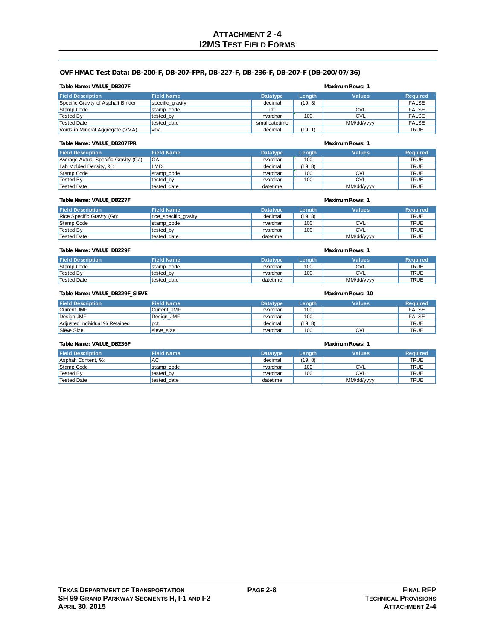### **OVF HMAC Test Data: DB-200-F, DB-207-FPR, DB-227-F, DB-236-F, DB-207-F (DB-200/07/36)**

### **Field Description**<br> **Field Name Datatype Length Values Required**<br> **Recific Gravity of Asphalt Binder Specific\_gravity CONSIDER 1989** Specific Gravity of Asphalt Binder specific\_gravity specific decimal Stamp Code int int int int int int CVL in FALSE Tested By tested\_by tested\_by tested and the cylinder of the cylinder of the cylinder of the cylinder of the c Tested Date same tested\_date the smalldatetime NM/dd/yyyy NMC FALSE Voids in Mineral Aggregate (VMA) vma decimal decimal (19, 1) decimal (19, 1) TRUE **Table Name: VALUE\_DB207F Maximum Rows: 1**

### **Table Name: VALUE\_DB207FPR Maximum Rows: 1**

| $19000$ $190100$ , $111000$ $10000$   |                   |                 |         |               |                 |
|---------------------------------------|-------------------|-----------------|---------|---------------|-----------------|
| <b>Field Description</b>              | <b>Field Name</b> | <b>Datatype</b> | Length  | <b>Values</b> | <b>Required</b> |
| Average Actual Specific Gravity (Ga): | l GA              | nvarchar        | 100     |               | <b>TRUE</b>     |
| Lab Molded Density, %:                | LMD               | decimal         | (19, 8) |               | <b>TRUE</b>     |
| Stamp Code                            | stamp code        | nvarchar        | 100     | <b>CVL</b>    | <b>TRUE</b>     |
| <sup>I</sup> Tested By                | tested by         | nvarchar        | 100     | <b>CVL</b>    | <b>TRUE</b>     |
| Tested Date                           | tested date       | datetime        |         | MM/dd/yyyy    | <b>TRUE</b>     |

### **Table Name: VALUE\_DB227F Maximum Rows: 1**

| <b>Field Description</b>    | <b>Field Name</b>     | <b>Datatype</b> | Length | <b>Values</b> | <b>Required</b> |  |
|-----------------------------|-----------------------|-----------------|--------|---------------|-----------------|--|
| Rice Specific Gravity (Gr): | rice specific gravity | decimal         | (19.8) |               | <b>TRUE</b>     |  |
| Stamp Code                  | stamp code            | nvarchar        | 100    | <b>CVL</b>    | <b>TRUE</b>     |  |
| Tested By                   | tested by             | nvarchar        | 100    | <b>CVL</b>    | <b>TRUE</b>     |  |
| <sup>I</sup> Tested Date    | tested date           | datetime        |        | MM/dd/yyyy    | <b>TRUE</b>     |  |

### **Table Name: VALUE\_DB229F Maximum Rows: 1**

| <b>Field Description</b> | <b>Field Name</b> | <b>Datatype</b> | Length | Values     | <b>Required</b> |
|--------------------------|-------------------|-----------------|--------|------------|-----------------|
| Stamp Code               | stamp_code        | nvarchar        | 100    | <b>CVL</b> | TRUE            |
| <b>Tested By</b>         | tested_by         | nvarchar        | 100    | CVL        | <b>TRUE</b>     |
| <sup>I</sup> Tested Date | tested date       | datetime        |        | MM/dd/yyyy | TRUE            |

### **Field Description Field Name Datatype Length Values Required** Current JMF **Current\_JMF Current IMF** nvarchar 100 | nvarchar 100 | FALSE Design JMF Design\_JMF nvarchar 100 FALSE Adjusted Individual % Retained pct and pct decimal (19, 8) and the set of the TRUE Sieve Size sieve\_size nvarchar 100 CVL CVL TRUE TRUE **Table Name: VALUE\_DB229F\_SIEVE Maximum Rows: 10**

### **Table Name: VALUE\_DB236F Maximum Rows: 1**

| <b>Field Description</b> | <b>Field Name</b> | <b>Datatype</b> | Length  | <b>Values</b> | <b>Required</b> |
|--------------------------|-------------------|-----------------|---------|---------------|-----------------|
| Asphalt Content, %:      | <b>AC</b>         | decimal         | (19, 8) |               | <b>TRUE</b>     |
| Stamp Code               | stamp code        | nvarchar        | 100     | <b>CVL</b>    | <b>TRUE</b>     |
| <b>Tested By</b>         | tested by         | nvarchar        | 100     | <b>CVL</b>    | <b>TRUE</b>     |
| <b>Tested Date</b>       | tested date       | datetime        |         | MM/dd/yyyy    | <b>TRUE</b>     |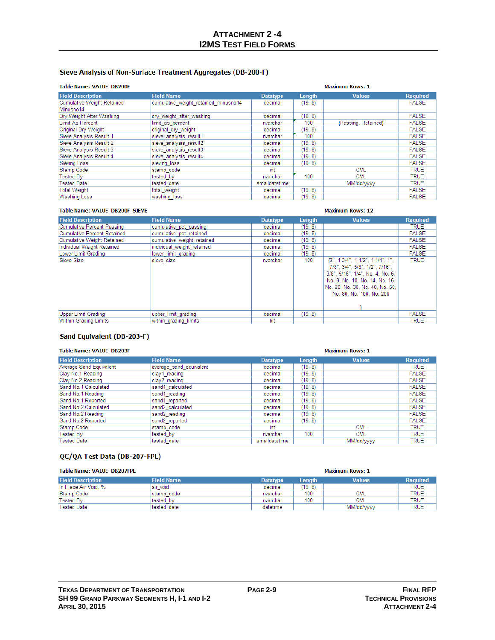### Sieve Analysis of Non-Surface Treatment Aggregates (DB-200-F)

### Table Name: VALUE DB200F

| <b>Table Name: VALUE DB200F</b>   | <b>Maximum Rows: 1</b>               |                 |         |                     |                 |
|-----------------------------------|--------------------------------------|-----------------|---------|---------------------|-----------------|
| <b>Field Description</b>          | <b>Field Name</b>                    | <b>Datatype</b> | Length  | <b>Values</b>       | <b>Required</b> |
| <b>Cumulative Weight Retained</b> | cumulative weight retained minusno14 | decimal         | (19, 8) |                     | <b>FALSE</b>    |
| Minusno14                         |                                      |                 |         |                     |                 |
| Dry Weight After Washing          | dry weight after washing             | decimal         | (19, 8) |                     | <b>FALSE</b>    |
| Limit As Percent                  | limit as percent                     | nvarchar        | 100     | {Passing, Retained} | <b>FALSE</b>    |
| Original Dry Weight               | original dry weight                  | decimal         | (19, 8) |                     | <b>FALSE</b>    |
| Sieve Analysis Result 1           | sieve analysis result1               | nvarchar        | 100     |                     | <b>FALSE</b>    |
| Sieve Analysis Result 2           | sieve analysis result2               | decimal         | (19, 8) |                     | <b>FALSE</b>    |
| Sieve Analysis Result 3           | sieve analysis result3               | decimal         | (19, 8) |                     | <b>FALSE</b>    |
| Sieve Analysis Result 4           | sieve analysis result4               | decimal         | (19, 8) |                     | <b>FALSE</b>    |
| Sieving Loss                      | sieving loss                         | decimal         | (19, 8) |                     | <b>FALSE</b>    |
| Stamp Code                        | stamp code                           | int             |         | <b>CVL</b>          | <b>TRUE</b>     |
| Tested Bv                         | tested by                            | nvarchar        | 100     | <b>CVL</b>          | <b>TRUE</b>     |
| <b>Tested Date</b>                | tested date                          | smalldatetime   |         | MM/dd/vvvv          | <b>TRUE</b>     |
| <b>Total Weight</b>               | total weight                         | decimal         | (19, 8) |                     | <b>FALSE</b>    |
| <b>Washing Loss</b>               | washing loss                         | decimal         | (19, 8) |                     | <b>FALSE</b>    |

## Table Name: VALUE\_DB200F\_SIEVE

| <b>Field Description</b>           | <b>Field Name</b>          | <b>Datatype</b> | Length  | <b>Values</b>                                                                                                                                                                                               | <b>Required</b> |
|------------------------------------|----------------------------|-----------------|---------|-------------------------------------------------------------------------------------------------------------------------------------------------------------------------------------------------------------|-----------------|
| <b>Cumulative Percent Passing</b>  | cumulative pct passing     | decimal         | (19, 8) |                                                                                                                                                                                                             | <b>TRUE</b>     |
| <b>Cumulative Percent Retained</b> | cumulative pct retained    | decimal         | (19.8)  |                                                                                                                                                                                                             | <b>FALSE</b>    |
| <b>Cumulative Weight Retained</b>  | cumulative weight retained | decimal         | (19, 8) |                                                                                                                                                                                                             | <b>FALSE</b>    |
| Individual Weight Retained         | individual weight retained | decimal         | (19, 8) |                                                                                                                                                                                                             | <b>FALSE</b>    |
| Lower Limit Grading                | lower limit grading        | decimal         | (19, 8) |                                                                                                                                                                                                             | <b>FALSE</b>    |
| Sieve Size                         | sieve size                 | nvarchar        | 100     | $\{2", 1-3/4", 1-1/2", 1-1/4", 1"\}$<br>7/8", 3/4", 5/8", 1/2", 7/16",<br>3/8", 5/16", 1/4", No. 4, No. 6,<br>No. 8, No. 10, No. 14, No. 16,<br>No. 20, No. 30, No. 40, No. 50,<br>No. 80, No. 100, No. 200 | TRUE            |
| <b>Upper Limit Grading</b>         | upper limit grading        | decimal         | (19, 8) |                                                                                                                                                                                                             | <b>FALSE</b>    |
| Within Grading Limits              | within grading limits      | bit             |         |                                                                                                                                                                                                             | <b>TRUE</b>     |

**Maximum Rows: 12** 

### Sand Equivalent (DB-203-F)

### Table Name: VALUE\_DB203F **Maximum Rows: 1 Field Description Field Name** Datatype Length Values Required Average Sand Equivalent average\_sand\_equivalent decimal  $(19, 8)$ **TRUE** Clay No.1 Reading  $(19, 8)$ **FALSE** clay1\_reading decimal Clay No.2 Reading FALSE clay2 reading decimal  $(19, 8)$ sand1\_calculated Sand No.1 Calculated  $(19, 8)$ FALSE decimal sand1\_reading FALSE Sand No.1 Reading decimal  $(19, 8)$ FALSE Sand No.1 Reported sand1\_reported decimal  $(19, 8)$ Sand No.2 Calculated sand2\_calculated decimal  $(19, 8)$ **FALSE** Sand No.2 Reading sand2\_reading decimal  $(19, 8)$ **FALSE** Sand No.2 Reported sand2\_reported decimal  $(19, 8)$ **FALSE** Stamp Code stamp\_code<br>tested\_by CVL **TRUE** int  $100$ Tested By  $\overline{\text{CVL}}$ **TRUE** nvarchar MM/dd/yyyy tested\_date smalldatetime **TRUE Tested Date**

### QC/QA Test Data (DB-207-FPL)

| <b>Table Name: VALUE DB207FPL</b> |                   | <b>Maximum Rows: 1</b> |        |               |                 |
|-----------------------------------|-------------------|------------------------|--------|---------------|-----------------|
| <b>Field Description</b>          | <b>Field Name</b> | Datatype               | Length | <b>Values</b> | <b>Required</b> |
| In Place Air Void, %              | lair void         | decimal                | (19.8) |               | <b>TRUE</b>     |
| Stamp Code                        | stamp code        | nvarchar               | 100    | CVL           | <b>TRUE</b>     |
| Tested By                         | tested by         | nvarchar               | 100    | <b>CVL</b>    | <b>TRUE</b>     |
| <b>Tested Date</b>                | tested date       | datetime               |        | MM/dd/yyyy    | <b>TRUE</b>     |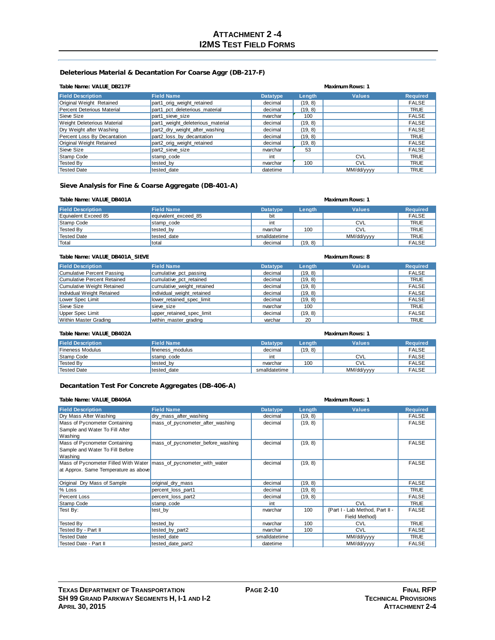### **Deleterious Material & Decantation For Coarse Aggr (DB-217-F)**

### **Table Name: VALUE\_DB217F Maximum Rows: 1**

| <b>Field Description</b>           | <b>Field Name</b>                 | <b>Datatype</b> | Length  | <b>Values</b> | <b>Required</b> |
|------------------------------------|-----------------------------------|-----------------|---------|---------------|-----------------|
| Original Weight Retained           | part1 orig weight retained        | decimal         | (19, 8) |               | <b>FALSE</b>    |
| Percent Deterious Material         | part1 pct deleterious material    | decimal         | (19, 8) |               | <b>TRUE</b>     |
| Sieve Size                         | part1 sieve size                  | nvarchar        | 100     |               | <b>FALSE</b>    |
| <b>Weight Deleterious Material</b> | part1 weight deleterious material | decimal         | (19, 8) |               | <b>FALSE</b>    |
| Dry Weight after Washing           | part2_dry_weight_after_washing    | decimal         | (19, 8) |               | <b>FALSE</b>    |
| Percent Loss By Decantation        | part2_loss_by_decantation         | decimal         | (19, 8) |               | <b>TRUE</b>     |
| Original Weight Retained           | part2_orig_weight_retained        | decimal         | (19, 8) |               | <b>FALSE</b>    |
| Sieve Size                         | part2 sieve size                  | nvarchar        | 53      |               | <b>FALSE</b>    |
| Stamp Code                         | stamp code                        | int             |         | <b>CVL</b>    | <b>TRUE</b>     |
| <b>Tested By</b>                   | tested by                         | nvarchar        | 100     | <b>CVL</b>    | <b>TRUE</b>     |
| Tested Date                        | tested date                       | datetime        |         | MM/dd/yyyy    | <b>TRUE</b>     |

### **Sieve Analysis for Fine & Coarse Aggregate (DB-401-A)**

### **Table Name: VALUE\_DB401A Maximum Rows: 1**

| <b>Field Description</b> | <b>Field Name</b>    | <b>Datatype</b> | Length  | <b>Values</b> | <b>Required</b> |
|--------------------------|----------------------|-----------------|---------|---------------|-----------------|
| Equivalent Exceed 85     | equivalent exceed 85 | bit             |         |               | <b>FALSE</b>    |
| Stamp Code               | stamp code           | int             |         | <b>CVL</b>    | <b>TRUE</b>     |
| Tested By                | tested by            | nvarchar        | 100     | <b>CVL</b>    | <b>TRUE</b>     |
| Tested Date              | tested date          | smalldatetime   |         | MM/dd/yyyy    | <b>TRUE</b>     |
| <b>Total</b>             | total                | decimal         | (19, 8) |               | <b>FALSE</b>    |

### **Table Name: VALUE\_DB401A\_SIEVE Maximum Rows: 8**

| <b>Field Description</b>    | <b>Field Name</b>          | <b>Datatype</b> | Length  | <b>Values</b> | <b>Required</b> |  |
|-----------------------------|----------------------------|-----------------|---------|---------------|-----------------|--|
| Cumulative Percent Passing  | cumulative pct passing     | decimal         | (19, 8) |               | <b>FALSE</b>    |  |
| Cumulative Percent Retained | cumulative pct retained    | decimal         | (19, 8) |               | <b>TRUE</b>     |  |
| Cumulative Weight Retained  | cumulative weight retained | decimal         | (19, 8) |               | <b>FALSE</b>    |  |
| Individual Weight Retained  | individual weight retained | decimal         | (19, 8) |               | <b>FALSE</b>    |  |
| Lower Spec Limit            | lower retained spec limit  | decimal         | (19, 8) |               | <b>FALSE</b>    |  |
| Sieve Size                  | sieve size                 | nvarchar        | 100     |               | <b>TRUE</b>     |  |
| Upper Spec Limit            | upper retained spec limit  | decimal         | (19, 8) |               | <b>FALSE</b>    |  |
| Within Master Grading       | within master grading      | varchar         | 20      |               | <b>TRUE</b>     |  |

| Table Name: VALUE DB402A | Maximum Rows: 1   |                 |         |               |                 |
|--------------------------|-------------------|-----------------|---------|---------------|-----------------|
| <b>Field Description</b> | <b>Field Name</b> | <b>Datatype</b> | Lenath  | <b>Values</b> | <b>Required</b> |
| <b>Fineness Modulus</b>  | fineness modulus  | decimal         | (19, 8) |               | <b>FALSE</b>    |
| Stamp Code               | stamp code        | int             |         | <b>CVL</b>    | <b>FALSE</b>    |
| Tested By                | tested by         | nvarchar        | 100     | <b>CVL</b>    | <b>FALSE</b>    |
| Tested Date              | tested date       | smalldatetime   |         | MM/dd/yyyy    | <b>FALSE</b>    |

### **Decantation Test For Concrete Aggregates (DB-406-A)**

| Table Name: VALUE_DB406A                                             |                                   | <b>Maximum Rows: 1</b> |         |                                 |                 |
|----------------------------------------------------------------------|-----------------------------------|------------------------|---------|---------------------------------|-----------------|
| <b>Field Description</b>                                             | <b>Field Name</b>                 | <b>Datatype</b>        | Length  | <b>Values</b>                   | <b>Required</b> |
| Dry Mass After Washing                                               | dry_mass_after_washing            | decimal                | (19, 8) |                                 | <b>FALSE</b>    |
| Mass of Pycnometer Containing                                        | mass of pycnometer after washing  | decimal                | (19, 8) |                                 | <b>FALSE</b>    |
| Sample and Water To Fill After                                       |                                   |                        |         |                                 |                 |
| Washing                                                              |                                   |                        |         |                                 |                 |
| Mass of Pycnometer Containing                                        | mass of pycnometer before washing | decimal                | (19, 8) |                                 | <b>FALSE</b>    |
| Sample and Water To Fill Before                                      |                                   |                        |         |                                 |                 |
| Washing                                                              |                                   |                        |         |                                 |                 |
| Mass of Pycnometer Filled With Water   mass of pycnometer with water |                                   | decimal                | (19, 8) |                                 | <b>FALSE</b>    |
| at Approx. Same Temperature as above                                 |                                   |                        |         |                                 |                 |
| Original Dry Mass of Sample                                          | original dry mass                 | decimal                | (19, 8) |                                 | <b>FALSE</b>    |
| % Loss                                                               | percent_loss_part1                | decimal                | (19, 8) |                                 | <b>TRUE</b>     |
| <b>Percent Loss</b>                                                  | percent_loss_part2                | decimal                | (19, 8) |                                 | <b>FALSE</b>    |
| Stamp Code                                                           | stamp code                        | int                    |         | <b>CVL</b>                      | <b>TRUE</b>     |
| Test By:                                                             | test by                           | nvarchar               | 100     | {Part I - Lab Method, Part II - | <b>FALSE</b>    |
|                                                                      |                                   |                        |         | Field Method                    |                 |
| <b>Tested By</b>                                                     | tested by                         | nvarchar               | 100     | <b>CVL</b>                      | <b>TRUE</b>     |
| Tested By - Part II                                                  | tested by part2                   | nvarchar               | 100     | <b>CVL</b>                      | <b>FALSE</b>    |
| <b>Tested Date</b>                                                   | tested date                       | smalldatetime          |         | MM/dd/yyyy                      | <b>TRUE</b>     |
| Tested Date - Part II                                                | tested date part2                 | datetime               |         | MM/dd/yyyy                      | <b>FALSE</b>    |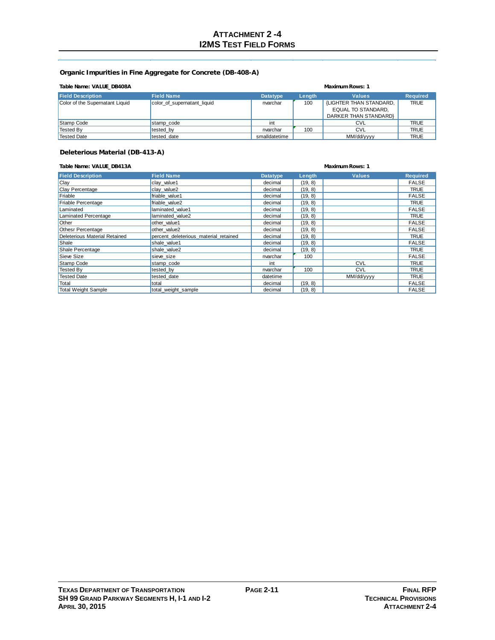### **Organic Impurities in Fine Aggregate for Concrete (DB-408-A)**

| Table Name: VALUE DB408A<br><b>Maximum Rows: 1</b> |                             |                 |        |                           |                 |
|----------------------------------------------------|-----------------------------|-----------------|--------|---------------------------|-----------------|
| <b>Field Description</b>                           | <b>Field Name</b>           | <b>Datatype</b> | Length | <b>Values</b>             | <b>Required</b> |
| Color of the Supernatant Liquid                    | color of supernatant liquid | nvarchar        | 100    | (LIGHTER THAN STANDARD,   | <b>TRUE</b>     |
|                                                    |                             |                 |        | <b>EQUAL TO STANDARD.</b> |                 |
|                                                    |                             |                 |        | DARKER THAN STANDARDY     |                 |
| Stamp Code                                         | stamp code                  | int             |        | CVL                       | <b>TRUE</b>     |
| Tested By                                          | tested by                   | nvarchar        | 100    | <b>CVL</b>                | <b>TRUE</b>     |
| Tested Date                                        | tested date                 | smalldatetime   |        | MM/dd/yyyy                | <b>TRUE</b>     |

### **Deleterious Material (DB-413-A)**

### **Table Name: VALUE\_DB413A Maximum Rows: 1**

| <b>Field Description</b>      | <b>Field Name</b>                     | <b>Datatype</b> | Length  | <b>Values</b> | <b>Required</b> |
|-------------------------------|---------------------------------------|-----------------|---------|---------------|-----------------|
| Clay                          | clay value1                           | decimal         | (19, 8) |               | <b>FALSE</b>    |
| Clay Percentage               | clay value2                           | decimal         | (19, 8) |               | TRUE            |
| Friable                       | friable value1                        | decimal         | (19, 8) |               | <b>FALSE</b>    |
| Friable Percentage            | friable value2                        | decimal         | (19, 8) |               | TRUE            |
| Laminated                     | laminated value1                      | decimal         | (19, 8) |               | <b>FALSE</b>    |
| Laminated Percentage          | laminated value2                      | decimal         | (19, 8) |               | TRUE            |
| Other                         | other value1                          | decimal         | (19, 8) |               | <b>FALSE</b>    |
| <b>Othesr Percentage</b>      | other value2                          | decimal         | (19, 8) |               | <b>FALSE</b>    |
| Deleterious Material Retained | percent deleterious material retained | decimal         | (19, 8) |               | <b>TRUE</b>     |
| Shale                         | shale value1                          | decimal         | (19, 8) |               | <b>FALSE</b>    |
| Shale Percentage              | shale_value2                          | decimal         | (19, 8) |               | <b>TRUE</b>     |
| Sieve Size                    | sieve size                            | nvarchar        | 100     |               | <b>FALSE</b>    |
| Stamp Code                    | stamp code                            | int             |         | <b>CVL</b>    | <b>TRUE</b>     |
| <b>Tested By</b>              | tested by                             | nvarchar        | 100     | <b>CVL</b>    | <b>TRUE</b>     |
| <b>Tested Date</b>            | tested date                           | datetime        |         | MM/dd/yyyy    | <b>TRUE</b>     |
| Total                         | total                                 | decimal         | (19, 8) |               | <b>FALSE</b>    |
| <b>Total Weight Sample</b>    | total weight sample                   | decimal         | (19, 8) |               | <b>FALSE</b>    |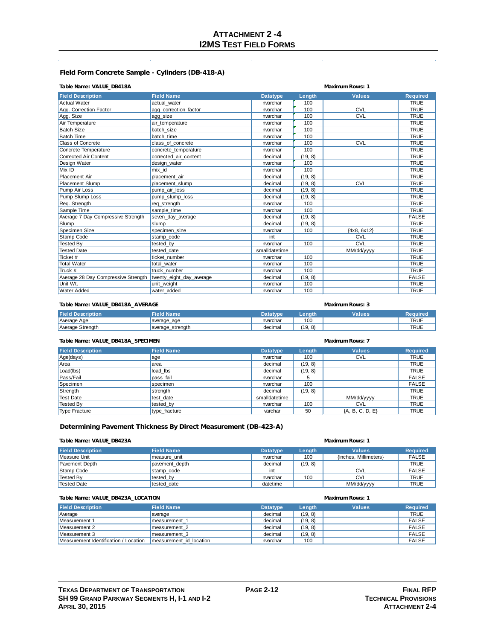## **ATTACHMENT 2 -4 I2MS TEST FIELD FORMS**

### **Field Form Concrete Sample - Cylinders (DB-418-A)**

### **Table Name: VALUE\_DB418A Maximum Rows: 1**

| <b>Field Name</b><br><b>Values</b><br><b>Required</b><br>Length<br><b>Datatype</b><br>100<br><b>TRUE</b><br><b>Actual Water</b><br>actual water<br>nvarchar<br>Agg. Correction Factor<br>100<br>CVL<br><b>TRUE</b><br>agg_correction_factor<br>nvarchar<br><b>TRUE</b><br>nvarchar<br>100<br><b>CVL</b><br>Agg. Size<br>agg size<br>Air Temperature<br>nvarchar<br>100<br><b>TRUE</b><br>air temperature<br><b>Batch Size</b><br>100<br><b>TRUE</b><br>batch size<br>nvarchar<br><b>Batch Time</b><br>100<br><b>TRUE</b><br>batch time<br>nvarchar<br>CVL<br><b>Class of Concrete</b><br>100<br><b>TRUE</b><br>class of concrete<br>nvarchar<br><b>TRUE</b><br>Concrete Temperature<br>100<br>nvarchar<br>concrete temperature<br><b>Corrected Air Content</b><br><b>TRUE</b><br>corrected air content<br>decimal<br>(19, 8)<br><b>TRUE</b><br>Design Water<br>design water<br>100<br>nvarchar<br>100<br><b>TRUE</b><br>Mix ID<br>mix id<br>nvarchar<br>Placement Air<br>decimal<br>(19, 8)<br><b>TRUE</b><br>placement air<br>CVL<br>(19, 8)<br><b>TRUE</b><br><b>Placement Slump</b><br>placement slump<br>decimal<br><b>TRUE</b><br>Pump Air Loss<br>(19, 8)<br>pump air loss<br>decimal<br>(19, 8)<br><b>TRUE</b><br>Pump Slump Loss<br>pump slump loss<br>decimal<br><b>TRUE</b><br>Reg. Strength<br>100<br>reg strength<br>nvarchar<br><b>TRUE</b><br>Sample Time<br>100<br>sample time<br>nvarchar<br>Average 7 Day Compressive Strength<br>(19, 8)<br><b>FALSE</b><br>seven day average<br>decimal<br>Slump<br><b>TRUE</b><br>(19, 8)<br>decimal<br>slump<br>Specimen Size<br><b>TRUE</b><br>100<br>${4x8, 6x12}$<br>specimen size<br>nvarchar<br>CVL<br><b>TRUE</b><br>Stamp Code<br>stamp code<br>int<br>100<br>CVL<br><b>TRUE</b><br><b>Tested By</b><br>nvarchar<br>tested by<br><b>Tested Date</b><br><b>TRUE</b><br>tested date<br>smalldatetime<br>MM/dd/yyyy<br><b>TRUE</b><br>Ticket #<br>100<br>ticket number<br>nvarchar<br><b>Total Water</b><br>total water<br>100<br><b>TRUE</b><br>nvarchar<br>Truck #<br>100<br><b>TRUE</b><br>truck number<br>nvarchar<br><b>FALSE</b><br>decimal |                                     |                          |         |  |
|------------------------------------------------------------------------------------------------------------------------------------------------------------------------------------------------------------------------------------------------------------------------------------------------------------------------------------------------------------------------------------------------------------------------------------------------------------------------------------------------------------------------------------------------------------------------------------------------------------------------------------------------------------------------------------------------------------------------------------------------------------------------------------------------------------------------------------------------------------------------------------------------------------------------------------------------------------------------------------------------------------------------------------------------------------------------------------------------------------------------------------------------------------------------------------------------------------------------------------------------------------------------------------------------------------------------------------------------------------------------------------------------------------------------------------------------------------------------------------------------------------------------------------------------------------------------------------------------------------------------------------------------------------------------------------------------------------------------------------------------------------------------------------------------------------------------------------------------------------------------------------------------------------------------------------------------------------------------------------------------------------------------------------------------------------------------------------------------------------|-------------------------------------|--------------------------|---------|--|
|                                                                                                                                                                                                                                                                                                                                                                                                                                                                                                                                                                                                                                                                                                                                                                                                                                                                                                                                                                                                                                                                                                                                                                                                                                                                                                                                                                                                                                                                                                                                                                                                                                                                                                                                                                                                                                                                                                                                                                                                                                                                                                            | <b>Field Description</b>            |                          |         |  |
|                                                                                                                                                                                                                                                                                                                                                                                                                                                                                                                                                                                                                                                                                                                                                                                                                                                                                                                                                                                                                                                                                                                                                                                                                                                                                                                                                                                                                                                                                                                                                                                                                                                                                                                                                                                                                                                                                                                                                                                                                                                                                                            |                                     |                          |         |  |
|                                                                                                                                                                                                                                                                                                                                                                                                                                                                                                                                                                                                                                                                                                                                                                                                                                                                                                                                                                                                                                                                                                                                                                                                                                                                                                                                                                                                                                                                                                                                                                                                                                                                                                                                                                                                                                                                                                                                                                                                                                                                                                            |                                     |                          |         |  |
|                                                                                                                                                                                                                                                                                                                                                                                                                                                                                                                                                                                                                                                                                                                                                                                                                                                                                                                                                                                                                                                                                                                                                                                                                                                                                                                                                                                                                                                                                                                                                                                                                                                                                                                                                                                                                                                                                                                                                                                                                                                                                                            |                                     |                          |         |  |
|                                                                                                                                                                                                                                                                                                                                                                                                                                                                                                                                                                                                                                                                                                                                                                                                                                                                                                                                                                                                                                                                                                                                                                                                                                                                                                                                                                                                                                                                                                                                                                                                                                                                                                                                                                                                                                                                                                                                                                                                                                                                                                            |                                     |                          |         |  |
|                                                                                                                                                                                                                                                                                                                                                                                                                                                                                                                                                                                                                                                                                                                                                                                                                                                                                                                                                                                                                                                                                                                                                                                                                                                                                                                                                                                                                                                                                                                                                                                                                                                                                                                                                                                                                                                                                                                                                                                                                                                                                                            |                                     |                          |         |  |
|                                                                                                                                                                                                                                                                                                                                                                                                                                                                                                                                                                                                                                                                                                                                                                                                                                                                                                                                                                                                                                                                                                                                                                                                                                                                                                                                                                                                                                                                                                                                                                                                                                                                                                                                                                                                                                                                                                                                                                                                                                                                                                            |                                     |                          |         |  |
|                                                                                                                                                                                                                                                                                                                                                                                                                                                                                                                                                                                                                                                                                                                                                                                                                                                                                                                                                                                                                                                                                                                                                                                                                                                                                                                                                                                                                                                                                                                                                                                                                                                                                                                                                                                                                                                                                                                                                                                                                                                                                                            |                                     |                          |         |  |
|                                                                                                                                                                                                                                                                                                                                                                                                                                                                                                                                                                                                                                                                                                                                                                                                                                                                                                                                                                                                                                                                                                                                                                                                                                                                                                                                                                                                                                                                                                                                                                                                                                                                                                                                                                                                                                                                                                                                                                                                                                                                                                            |                                     |                          |         |  |
|                                                                                                                                                                                                                                                                                                                                                                                                                                                                                                                                                                                                                                                                                                                                                                                                                                                                                                                                                                                                                                                                                                                                                                                                                                                                                                                                                                                                                                                                                                                                                                                                                                                                                                                                                                                                                                                                                                                                                                                                                                                                                                            |                                     |                          |         |  |
|                                                                                                                                                                                                                                                                                                                                                                                                                                                                                                                                                                                                                                                                                                                                                                                                                                                                                                                                                                                                                                                                                                                                                                                                                                                                                                                                                                                                                                                                                                                                                                                                                                                                                                                                                                                                                                                                                                                                                                                                                                                                                                            |                                     |                          |         |  |
|                                                                                                                                                                                                                                                                                                                                                                                                                                                                                                                                                                                                                                                                                                                                                                                                                                                                                                                                                                                                                                                                                                                                                                                                                                                                                                                                                                                                                                                                                                                                                                                                                                                                                                                                                                                                                                                                                                                                                                                                                                                                                                            |                                     |                          |         |  |
|                                                                                                                                                                                                                                                                                                                                                                                                                                                                                                                                                                                                                                                                                                                                                                                                                                                                                                                                                                                                                                                                                                                                                                                                                                                                                                                                                                                                                                                                                                                                                                                                                                                                                                                                                                                                                                                                                                                                                                                                                                                                                                            |                                     |                          |         |  |
|                                                                                                                                                                                                                                                                                                                                                                                                                                                                                                                                                                                                                                                                                                                                                                                                                                                                                                                                                                                                                                                                                                                                                                                                                                                                                                                                                                                                                                                                                                                                                                                                                                                                                                                                                                                                                                                                                                                                                                                                                                                                                                            |                                     |                          |         |  |
|                                                                                                                                                                                                                                                                                                                                                                                                                                                                                                                                                                                                                                                                                                                                                                                                                                                                                                                                                                                                                                                                                                                                                                                                                                                                                                                                                                                                                                                                                                                                                                                                                                                                                                                                                                                                                                                                                                                                                                                                                                                                                                            |                                     |                          |         |  |
|                                                                                                                                                                                                                                                                                                                                                                                                                                                                                                                                                                                                                                                                                                                                                                                                                                                                                                                                                                                                                                                                                                                                                                                                                                                                                                                                                                                                                                                                                                                                                                                                                                                                                                                                                                                                                                                                                                                                                                                                                                                                                                            |                                     |                          |         |  |
|                                                                                                                                                                                                                                                                                                                                                                                                                                                                                                                                                                                                                                                                                                                                                                                                                                                                                                                                                                                                                                                                                                                                                                                                                                                                                                                                                                                                                                                                                                                                                                                                                                                                                                                                                                                                                                                                                                                                                                                                                                                                                                            |                                     |                          |         |  |
|                                                                                                                                                                                                                                                                                                                                                                                                                                                                                                                                                                                                                                                                                                                                                                                                                                                                                                                                                                                                                                                                                                                                                                                                                                                                                                                                                                                                                                                                                                                                                                                                                                                                                                                                                                                                                                                                                                                                                                                                                                                                                                            |                                     |                          |         |  |
|                                                                                                                                                                                                                                                                                                                                                                                                                                                                                                                                                                                                                                                                                                                                                                                                                                                                                                                                                                                                                                                                                                                                                                                                                                                                                                                                                                                                                                                                                                                                                                                                                                                                                                                                                                                                                                                                                                                                                                                                                                                                                                            |                                     |                          |         |  |
|                                                                                                                                                                                                                                                                                                                                                                                                                                                                                                                                                                                                                                                                                                                                                                                                                                                                                                                                                                                                                                                                                                                                                                                                                                                                                                                                                                                                                                                                                                                                                                                                                                                                                                                                                                                                                                                                                                                                                                                                                                                                                                            |                                     |                          |         |  |
|                                                                                                                                                                                                                                                                                                                                                                                                                                                                                                                                                                                                                                                                                                                                                                                                                                                                                                                                                                                                                                                                                                                                                                                                                                                                                                                                                                                                                                                                                                                                                                                                                                                                                                                                                                                                                                                                                                                                                                                                                                                                                                            |                                     |                          |         |  |
|                                                                                                                                                                                                                                                                                                                                                                                                                                                                                                                                                                                                                                                                                                                                                                                                                                                                                                                                                                                                                                                                                                                                                                                                                                                                                                                                                                                                                                                                                                                                                                                                                                                                                                                                                                                                                                                                                                                                                                                                                                                                                                            |                                     |                          |         |  |
|                                                                                                                                                                                                                                                                                                                                                                                                                                                                                                                                                                                                                                                                                                                                                                                                                                                                                                                                                                                                                                                                                                                                                                                                                                                                                                                                                                                                                                                                                                                                                                                                                                                                                                                                                                                                                                                                                                                                                                                                                                                                                                            |                                     |                          |         |  |
|                                                                                                                                                                                                                                                                                                                                                                                                                                                                                                                                                                                                                                                                                                                                                                                                                                                                                                                                                                                                                                                                                                                                                                                                                                                                                                                                                                                                                                                                                                                                                                                                                                                                                                                                                                                                                                                                                                                                                                                                                                                                                                            |                                     |                          |         |  |
|                                                                                                                                                                                                                                                                                                                                                                                                                                                                                                                                                                                                                                                                                                                                                                                                                                                                                                                                                                                                                                                                                                                                                                                                                                                                                                                                                                                                                                                                                                                                                                                                                                                                                                                                                                                                                                                                                                                                                                                                                                                                                                            |                                     |                          |         |  |
|                                                                                                                                                                                                                                                                                                                                                                                                                                                                                                                                                                                                                                                                                                                                                                                                                                                                                                                                                                                                                                                                                                                                                                                                                                                                                                                                                                                                                                                                                                                                                                                                                                                                                                                                                                                                                                                                                                                                                                                                                                                                                                            |                                     |                          |         |  |
|                                                                                                                                                                                                                                                                                                                                                                                                                                                                                                                                                                                                                                                                                                                                                                                                                                                                                                                                                                                                                                                                                                                                                                                                                                                                                                                                                                                                                                                                                                                                                                                                                                                                                                                                                                                                                                                                                                                                                                                                                                                                                                            |                                     |                          |         |  |
|                                                                                                                                                                                                                                                                                                                                                                                                                                                                                                                                                                                                                                                                                                                                                                                                                                                                                                                                                                                                                                                                                                                                                                                                                                                                                                                                                                                                                                                                                                                                                                                                                                                                                                                                                                                                                                                                                                                                                                                                                                                                                                            | Average 28 Day Compressive Strength | twenty_eight_day_average | (19, 8) |  |
| Unit Wt.<br><b>TRUE</b><br>100<br>unit weight<br>nvarchar                                                                                                                                                                                                                                                                                                                                                                                                                                                                                                                                                                                                                                                                                                                                                                                                                                                                                                                                                                                                                                                                                                                                                                                                                                                                                                                                                                                                                                                                                                                                                                                                                                                                                                                                                                                                                                                                                                                                                                                                                                                  |                                     |                          |         |  |
| 100<br><b>TRUE</b><br>water added<br>nvarchar                                                                                                                                                                                                                                                                                                                                                                                                                                                                                                                                                                                                                                                                                                                                                                                                                                                                                                                                                                                                                                                                                                                                                                                                                                                                                                                                                                                                                                                                                                                                                                                                                                                                                                                                                                                                                                                                                                                                                                                                                                                              | <b>Water Added</b>                  |                          |         |  |

### **Table Name: VALUE\_DB418A\_AVERAGE Maximum Rows: 3**

| <b>Field Description</b> | <b>Field Name</b>     | Datatvpe | Lenath     | Values | <b>Required</b> |
|--------------------------|-----------------------|----------|------------|--------|-----------------|
| Average Age              | average_age           | nvarchar | 100        |        | <b>TRUE</b>     |
| Average Strength         | strenath<br>laverage. | decimal  | '19.<br>8) |        | <b>TRUL</b>     |

### **Table Name: VALUE\_DB418A\_SPECIMEN Maximum Rows: 7**

| <b>Field Description</b> | <b>Field Name</b> | <b>Datatype</b> | Length  | <b>Values</b>     | <b>Required</b> |
|--------------------------|-------------------|-----------------|---------|-------------------|-----------------|
| Age(days)                | age               | nvarchar        | 100     | <b>CVL</b>        | <b>TRUE</b>     |
| <b>Area</b>              | area              | decimal         | (19, 8) |                   | <b>TRUE</b>     |
| Load(lbs)                | load lbs          | decimal         | (19, 8) |                   | <b>TRUE</b>     |
| Pass/Fail                | pass fail         | nvarchar        | 5       |                   | <b>FALSE</b>    |
| Specimen                 | specimen          | nvarchar        | 100     |                   | <b>FALSE</b>    |
| Strength                 | strength          | decimal         | (19, 8) |                   | <b>TRUE</b>     |
| Test Date                | test date         | smalldatetime   |         | MM/dd/yyyy        | <b>TRUE</b>     |
| Tested By                | tested by         | nvarchar        | 100     | <b>CVL</b>        | <b>TRUE</b>     |
| Type Fracture            | type fracture     | varchar         | 50      | ${A, B, C, D, E}$ | <b>TRUE</b>     |

### **Determining Pavement Thickness By Direct Measurement (DB-423-A)**

### **Table Name: VALUE\_DB423A Maximum Rows: 1**

| <b>Field Description</b> | <b>Field Name</b> | <b>Datatype</b> | Length  | <b>Values</b>         | <b>Required</b> |
|--------------------------|-------------------|-----------------|---------|-----------------------|-----------------|
| Measure Unit             | measure unit      | nvarchar        | 100     | {Inches. Millimeters} | <b>FALSE</b>    |
| <b>Pavement Depth</b>    | pavement depth    | decimal         | (19, 8) |                       | <b>TRUE</b>     |
| Stamp Code               | stamp code        | int             |         | <b>CVL</b>            | <b>FALSE</b>    |
| Tested By                | tested by         | nvarchar        | 100     | <b>CVL</b>            | <b>TRUE</b>     |
| Tested Date              | tested date       | datetime        |         | MM/dd/yyyy            | <b>TRUE</b>     |

| Table Name: VALUE DB423A LOCATION     | <b>Maximum Rows: 1</b>  |                 |               |               |                 |
|---------------------------------------|-------------------------|-----------------|---------------|---------------|-----------------|
| <b>Field Description</b>              | <b>Field Name</b>       | <b>Datatype</b> | <b>Lenath</b> | <b>Values</b> | <b>Required</b> |
| Average                               | average                 | decimal         | (19, 8)       |               | <b>TRUE</b>     |
| Measurement 1                         | Imeasurement 1          | decimal         | (19, 8)       |               | <b>FALSE</b>    |
| Measurement 2                         | measurement 2           | decimal         | (19, 8)       |               | <b>FALSE</b>    |
| Measurement 3                         | measurement 3           | decimal         | (19, 8)       |               | <b>FALSE</b>    |
| Measurement Identification / Location | measurement id location | nvarchar        | 100           |               | <b>FALSE</b>    |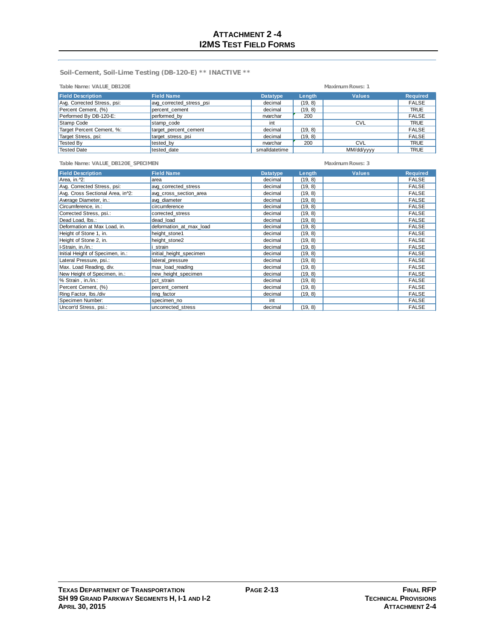**Soil-Cement, Soil-Lime Testing (DB-120-E) \*\* INACTIVE \*\***

| Table Name: VALUE DB120E    | Maximum Rows: 1          |                 |               |               |                 |
|-----------------------------|--------------------------|-----------------|---------------|---------------|-----------------|
| <b>Field Description</b>    | <b>Field Name</b>        | <b>Datatype</b> | <b>Lenath</b> | <b>Values</b> | <b>Required</b> |
| Avg. Corrected Stress, psi: | avg corrected stress psi | decimal         | (19, 8)       |               | <b>FALSE</b>    |
| Percent Cement, (%)         | percent cement           | decimal         | (19, 8)       |               | <b>TRUE</b>     |
| Performed By DB-120-E:      | performed by             | nvarchar        | 200           |               | <b>FALSE</b>    |
| Stamp Code                  | stamp code               | int             |               | <b>CVL</b>    | <b>TRUE</b>     |
| Target Percent Cement, %:   | target_percent_cement    | decimal         | (19, 8)       |               | <b>FALSE</b>    |
| Target Stress, psi:         | target stress psi        | decimal         | (19, 8)       |               | <b>FALSE</b>    |
| Tested By                   | tested by                | nvarchar        | 200           | <b>CVL</b>    | <b>TRUE</b>     |
| Tested Date                 | tested date              | smalldatetime   |               | MM/dd/yyyy    | <b>TRUE</b>     |

| Table Name: VALUE_DB120E_SPECIMEN |                         |                 | Maximum Rows: 3 |               |                 |
|-----------------------------------|-------------------------|-----------------|-----------------|---------------|-----------------|
| <b>Field Description</b>          | <b>Field Name</b>       | <b>Datatype</b> | Length          | <b>Values</b> | <b>Required</b> |
| Area, in.^2:                      | area                    | decimal         | (19, 8)         |               | <b>FALSE</b>    |
| Avg. Corrected Stress, psi:       | avg_corrected_stress    | decimal         | (19, 8)         |               | <b>FALSE</b>    |
| Avg. Cross Sectional Area, in 2:  | avg cross section area  | decimal         | (19, 8)         |               | <b>FALSE</b>    |
| Average Diameter, in.:            | avg diameter            | decimal         | (19, 8)         |               | <b>FALSE</b>    |
| Circumference, in.:               | circumference           | decimal         | (19, 8)         |               | <b>FALSE</b>    |
| Corrected Stress, psi.:           | corrected stress        | decimal         | (19, 8)         |               | <b>FALSE</b>    |
| Dead Load, Ibs.:                  | dead load               | decimal         | (19, 8)         |               | <b>FALSE</b>    |
| Deformation at Max Load, in.      | deformation at max load | decimal         | (19, 8)         |               | <b>FALSE</b>    |
| Height of Stone 1, in.            | height_stone1           | decimal         | (19, 8)         |               | <b>FALSE</b>    |
| Height of Stone 2, in.            | height stone2           | decimal         | (19, 8)         |               | <b>FALSE</b>    |
| I-Strain, in./in.:                | i strain                | decimal         | (19, 8)         |               | <b>FALSE</b>    |
| Initial Height of Specimen, in.:  | initial height specimen | decimal         | (19, 8)         |               | <b>FALSE</b>    |
| Lateral Pressure, psi.:           | lateral pressure        | decimal         | (19, 8)         |               | <b>FALSE</b>    |
| Max. Load Reading, div.           | max load reading        | decimal         | (19, 8)         |               | <b>FALSE</b>    |
| New Height of Specimen, in.:      | new height specimen     | decimal         | (19, 8)         |               | <b>FALSE</b>    |
| % Strain, in./in.:                | pct strain              | decimal         | (19, 8)         |               | <b>FALSE</b>    |
| Percent Cement, (%)               | percent_cement          | decimal         | (19, 8)         |               | <b>FALSE</b>    |
| Ring Factor, Ibs./div             | ring factor             | decimal         | (19, 8)         |               | <b>FALSE</b>    |
| Specimen Number:                  | specimen no             | int             |                 |               | <b>FALSE</b>    |
| Uncorr'd Stress, psi.:            | uncorrected stress      | decimal         | (19, 8)         |               | <b>FALSE</b>    |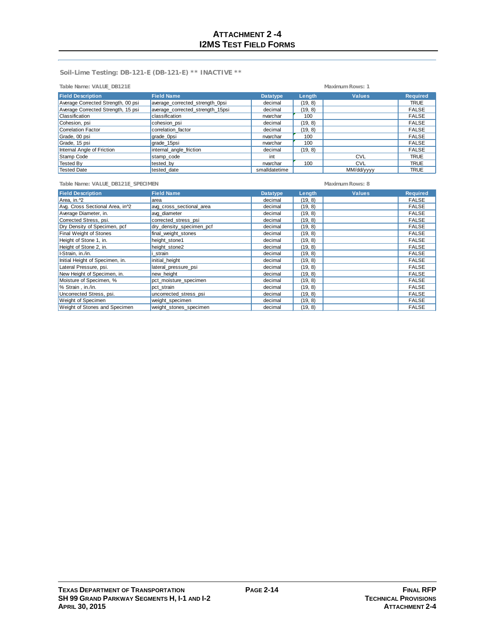**Soil-Lime Testing: DB-121-E (DB-121-E) \*\* INACTIVE \*\***

| Table Name: VALUE DB121E           | Maximum Rows: 1                  |                 |         |               |                 |
|------------------------------------|----------------------------------|-----------------|---------|---------------|-----------------|
| <b>Field Description</b>           | <b>Field Name</b>                | <b>Datatvpe</b> | Lenath  | <b>Values</b> | <b>Required</b> |
| Average Corrected Strength, 00 psi | average corrected strength Opsi  | decimal         | (19, 8) |               | <b>TRUE</b>     |
| Average Corrected Strength, 15 psi | average corrected strength 15psi | decimal         | (19, 8) |               | <b>FALSE</b>    |
| Classification                     | classification                   | nvarchar        | 100     |               | <b>FALSE</b>    |
| Cohesion, psi                      | cohesion psi                     | decimal         | (19, 8) |               | <b>FALSE</b>    |
| Correlation Factor                 | correlation factor               | decimal         | (19, 8) |               | <b>FALSE</b>    |
| Grade, 00 psi                      | grade_0psi                       | nvarchar        | 100     |               | <b>FALSE</b>    |
| Grade, 15 psi                      | grade 15psi                      | nvarchar        | 100     |               | <b>FALSE</b>    |
| Internal Angle of Friction         | internal angle friction          | decimal         | (19, 8) |               | <b>FALSE</b>    |
| Stamp Code                         | stamp code                       | int             |         | <b>CVL</b>    | <b>TRUE</b>     |
| Tested By                          | tested by                        | nvarchar        | 100     | <b>CVL</b>    | <b>TRUE</b>     |
| <b>Tested Date</b>                 | tested date                      | smalldatetime   |         | MM/dd/yyyy    | <b>TRUE</b>     |

**Table Name: VALUE\_DB121E\_SPECIMEN Maximum Rows: 8**

| <b>Field Description</b>                   | <b>Field Name</b>        | <b>Datatype</b> | Length  | <b>Values</b> | <b>Required</b> |
|--------------------------------------------|--------------------------|-----------------|---------|---------------|-----------------|
| Area, in. 12                               | area                     | decimal         | (19, 8) |               | <b>FALSE</b>    |
| Avg. Cross Sectional Area, in <sup>2</sup> | avg cross sectional area | decimal         | (19, 8) |               | <b>FALSE</b>    |
| Average Diameter, in.                      | avg diameter             | decimal         | (19, 8) |               | <b>FALSE</b>    |
| Corrected Stress, psi.                     | corrected stress psi     | decimal         | (19, 8) |               | <b>FALSE</b>    |
| Dry Density of Specimen, pcf               | dry density specimen pcf | decimal         | (19, 8) |               | <b>FALSE</b>    |
| <b>Final Weight of Stones</b>              | final weight stones      | decimal         | (19, 8) |               | <b>FALSE</b>    |
| Height of Stone 1, in.                     | height stone1            | decimal         | (19, 8) |               | <b>FALSE</b>    |
| Height of Stone 2, in.                     | height stone2            | decimal         | (19, 8) |               | <b>FALSE</b>    |
| I-Strain, in./in.                          | strain                   | decimal         | (19, 8) |               | <b>FALSE</b>    |
| Initial Height of Specimen, in.            | initial height           | decimal         | (19, 8) |               | <b>FALSE</b>    |
| Lateral Pressure, psi.                     | lateral pressure psi     | decimal         | (19, 8) |               | <b>FALSE</b>    |
| New Height of Specimen, in.                | new height               | decimal         | (19, 8) |               | <b>FALSE</b>    |
| Moisture of Specimen, %                    | pct_moisture_specimen    | decimal         | (19, 8) |               | <b>FALSE</b>    |
| % Strain, in./in.                          | pct strain               | decimal         | (19, 8) |               | <b>FALSE</b>    |
| Uncorrected Stress, psi.                   | uncorrected stress psi   | decimal         | (19, 8) |               | <b>FALSE</b>    |
| <b>Weight of Specimen</b>                  | weight specimen          | decimal         | (19, 8) |               | <b>FALSE</b>    |
| Weight of Stones and Specimen              | weight_stones_specimen   | decimal         | (19, 8) |               | <b>FALSE</b>    |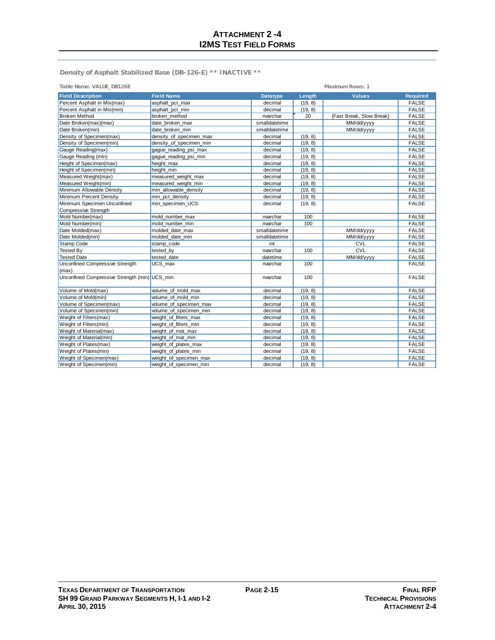**Maximum Rows: 1** 

**Density of Asphalt Stabilized Base (DB-126-E) \*\* INACTIVE \*\***

|  | Table Name: VALUE DB126E |
|--|--------------------------|
|  |                          |

| <b>Field Description</b>                      | <b>Field Name</b>       | <b>Datatype</b> | Length  | <b>Values</b>            | <b>Required</b> |
|-----------------------------------------------|-------------------------|-----------------|---------|--------------------------|-----------------|
| Percent Asphalt in Mix(max)                   | asphalt pct max         | decimal         | (19, 8) |                          | <b>FALSE</b>    |
| Percent Asphalt in Mix(min)                   | asphalt pct min         | decimal         | (19, 8) |                          | <b>FALSE</b>    |
| <b>Broken Method</b>                          | broken method           | nvarchar        | 20      | {Fast Break, Slow Break} | <b>FALSE</b>    |
| Date Broken(max)(max)                         | date broken max         | smalldatetime   |         | MM/dd/yyyy               | <b>FALSE</b>    |
| Date Broken(min)                              | date broken min         | smalldatetime   |         | MM/dd/yyyy               | <b>FALSE</b>    |
| Density of Specimen(max)                      | density of specimen max | decimal         | (19, 8) |                          | <b>FALSE</b>    |
| Density of Specimen(min)                      | density of specimen min | decimal         | (19, 8) |                          | <b>FALSE</b>    |
| Gauge Reading(max)                            | gague_reading_psi_max   | decimal         | (19, 8) |                          | <b>FALSE</b>    |
| Gauge Reading (min)                           | gaque reading psi min   | decimal         | (19, 8) |                          | <b>FALSE</b>    |
| Height of Specimen(max)                       | height max              | decimal         | (19, 8) |                          | <b>FALSE</b>    |
| Height of Specimen(min)                       | height_min              | decimal         | (19, 8) |                          | <b>FALSE</b>    |
| Measured Weight(max)                          | measured_weight_max     | decimal         | (19, 8) |                          | <b>FALSE</b>    |
| Measured Weight(min)                          | measured weight min     | decimal         | (19, 8) |                          | <b>FALSE</b>    |
| Minimum Allowable Density                     | min_allowable_density   | decimal         | (19, 8) |                          | <b>FALSE</b>    |
| Minimum Percent Density                       | min_pct_density         | decimal         | (19, 8) |                          | <b>FALSE</b>    |
| Minimum Specimen Unconfined                   | min specimen UCS        | decimal         | (19, 8) |                          | <b>FALSE</b>    |
| Compressive Strength                          |                         |                 |         |                          |                 |
| Mold Number(max)                              | mold number max         | nvarchar        | 100     |                          | <b>FALSE</b>    |
| Mold Number(min)                              | mold number min         | nvarchar        | 100     |                          | <b>FALSE</b>    |
| Date Molded(max)                              | molded date max         | smalldatetime   |         | MM/dd/yyyy               | <b>FALSE</b>    |
| Date Molded(min)                              | molded date min         | smalldatetime   |         | MM/dd/yyyy               | <b>FALSE</b>    |
| Stamp Code                                    | stamp code              | int             |         | <b>CVL</b>               | <b>FALSE</b>    |
| <b>Tested By</b>                              | tested by               | nvarchar        | 100     | <b>CVL</b>               | <b>FALSE</b>    |
| <b>Tested Date</b>                            | tested date             | datetime        |         | MM/dd/yyyy               | <b>FALSE</b>    |
| Unconfined Compressive Strength               | UCS max                 | nvarchar        | 100     |                          | <b>FALSE</b>    |
| (max)                                         |                         |                 |         |                          |                 |
| Unconfined Compressive Strength (min) UCS min |                         | nvarchar        | 100     |                          | <b>FALSE</b>    |
|                                               |                         |                 |         |                          |                 |
| Volume of Mold(max)                           | volume of mold max      | decimal         | (19, 8) |                          | <b>FALSE</b>    |
| Volume of Mold(min)                           | volume of mold min      | decimal         | (19, 8) |                          | <b>FALSE</b>    |
| Volume of Specimen(max)                       | volume of specimen max  | decimal         | (19, 8) |                          | <b>FALSE</b>    |
| Volume of Specimen(min)                       | volume_of_specimen_min  | decimal         | (19, 8) |                          | <b>FALSE</b>    |
| Weight of Filters(max)                        | weight of filters max   | decimal         | (19, 8) |                          | <b>FALSE</b>    |
| Weight of Filters(min)                        | weight_of_filters_min   | decimal         | (19, 8) |                          | <b>FALSE</b>    |
| Weight of Material(max)                       | weight of mat max       | decimal         | (19, 8) |                          | <b>FALSE</b>    |
| Weight of Material(min)                       | weight of mat min       | decimal         | (19, 8) |                          | <b>FALSE</b>    |
| Weight of Plates(max)                         | weight of plates max    | decimal         | (19, 8) |                          | <b>FALSE</b>    |
| Weight of Plates(min)                         | weight_of_plates_min    | decimal         | (19, 8) |                          | <b>FALSE</b>    |
| Weight of Specimen(max)                       | weight of specimen max  | decimal         | (19, 8) |                          | <b>FALSE</b>    |
| Weight of Specimen(min)                       | weight of specimen min  | decimal         | (19, 8) |                          | <b>FALSE</b>    |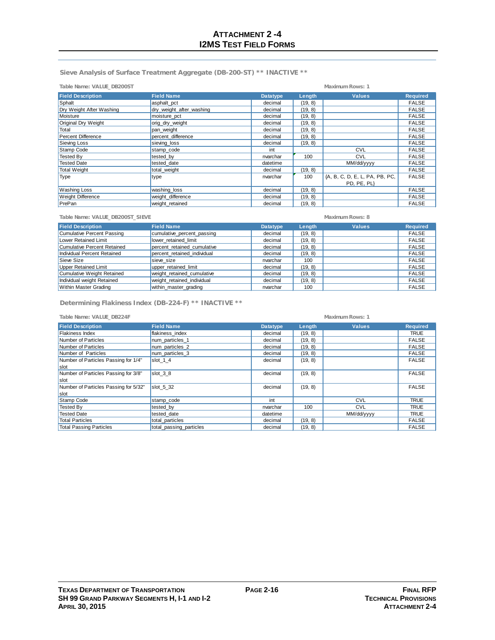**Sieve Analysis of Surface Treatment Aggregate (DB-200-ST) \*\* INACTIVE \*\***

| Table Name: VALUE DB200ST<br>Maximum Rows: 1 |                          |                 |         |                                               |                 |
|----------------------------------------------|--------------------------|-----------------|---------|-----------------------------------------------|-----------------|
| <b>Field Description</b>                     | <b>Field Name</b>        | <b>Datatype</b> | Length  | <b>Values</b>                                 | <b>Required</b> |
| Sphalt                                       | asphalt_pct              | decimal         | (19, 8) |                                               | <b>FALSE</b>    |
| Dry Weight After Washing                     | dry weight after washing | decimal         | (19, 8) |                                               | <b>FALSE</b>    |
| Moisture                                     | moisture_pct             | decimal         | (19, 8) |                                               | <b>FALSE</b>    |
| Original Dry Weight                          | orig_dry_weight          | decimal         | (19, 8) |                                               | <b>FALSE</b>    |
| Total                                        | pan weight               | decimal         | (19, 8) |                                               | <b>FALSE</b>    |
| <b>Percent Difference</b>                    | percent difference       | decimal         | (19, 8) |                                               | <b>FALSE</b>    |
| Sieving Loss                                 | sieving_loss             | decimal         | (19, 8) |                                               | <b>FALSE</b>    |
| Stamp Code                                   | stamp code               | int             |         | <b>CVL</b>                                    | <b>FALSE</b>    |
| <b>Tested By</b>                             | tested by                | nvarchar        | 100     | <b>CVL</b>                                    | <b>FALSE</b>    |
| <b>Tested Date</b>                           | tested date              | datetime        |         | MM/dd/yyyy                                    | <b>FALSE</b>    |
| <b>Total Weight</b>                          | total weight             | decimal         | (19, 8) |                                               | <b>FALSE</b>    |
| Type                                         | type                     | nvarchar        | 100     | {A, B, C, D, E, L, PA, PB, PC,<br>PD, PE, PL} | <b>FALSE</b>    |
| <b>Washing Loss</b>                          | washing_loss             | decimal         | (19, 8) |                                               | <b>FALSE</b>    |
| <b>Weight Difference</b>                     | weight difference        | decimal         | (19, 8) |                                               | <b>FALSE</b>    |
| PrePan                                       | weight retained          | decimal         | (19, 8) |                                               | <b>FALSE</b>    |

| Table Name: VALUE DB200ST SIEVE    |                             |                 | Maximum Rows: 8 |               |                 |  |
|------------------------------------|-----------------------------|-----------------|-----------------|---------------|-----------------|--|
| <b>Field Description</b>           | <b>Field Name</b>           | <b>Datatype</b> | Length          | <b>Values</b> | <b>Required</b> |  |
| <b>Cumulative Percent Passing</b>  | cumulative percent passing  | decimal         | (19, 8)         |               | <b>FALSE</b>    |  |
| Lower Retained Limit               | lower retained limit        | decimal         | (19, 8)         |               | <b>FALSE</b>    |  |
| <b>Cumulative Percent Retained</b> | percent retained cumulative | decimal         | (19, 8)         |               | <b>FALSE</b>    |  |
| Individual Percent Retained        | percent retained individual | decimal         | (19, 8)         |               | <b>FALSE</b>    |  |
| Sieve Size                         | sieve size                  | nvarchar        | 100             |               | <b>FALSE</b>    |  |
| <b>Upper Retained Limit</b>        | upper retained limit        | decimal         | (19, 8)         |               | <b>FALSE</b>    |  |
| Cumulative Weight Retained         | weight retained cumulative  | decimal         | (19, 8)         |               | <b>FALSE</b>    |  |
| Individual weight Retained         | weight retained individual  | decimal         | (19, 8)         |               | <b>FALSE</b>    |  |
| Within Master Grading              | within master grading       | nvarchar        | 100             |               | <b>FALSE</b>    |  |

**Determining Flakiness Index (DB-224-F) \*\* INACTIVE \*\***

**Table Name: VALUE\_DB224F Maximum Rows: 1**

| <b>Field Description</b>              | <b>Field Name</b>       | <b>Datatype</b> | Length  | <b>Values</b> | <b>Required</b> |
|---------------------------------------|-------------------------|-----------------|---------|---------------|-----------------|
| <b>Flakiness Index</b>                | flakiness index         | decimal         | (19, 8) |               | <b>TRUE</b>     |
| Number of Particles                   | num particles 1         | decimal         | (19, 8) |               | <b>FALSE</b>    |
| Number of Particles                   | num particles 2         | decimal         | (19, 8) |               | <b>FALSE</b>    |
| Number of Particles                   | num particles 3         | decimal         | (19, 8) |               | <b>FALSE</b>    |
| Number of Particles Passing for 1/4"  | slot 1 4                | decimal         | (19, 8) |               | <b>FALSE</b>    |
| slot                                  |                         |                 |         |               |                 |
| Number of Particles Passing for 3/8"  | slot $38$               | decimal         | (19, 8) |               | <b>FALSE</b>    |
| Islot                                 |                         |                 |         |               |                 |
| Number of Particles Passing for 5/32" | $slot 5$ 32             | decimal         | (19, 8) |               | <b>FALSE</b>    |
| slot                                  |                         |                 |         |               |                 |
| Stamp Code                            | stamp code              | int             |         | <b>CVL</b>    | <b>TRUE</b>     |
| <b>Tested By</b>                      | tested by               | nvarchar        | 100     | <b>CVL</b>    | <b>TRUE</b>     |
| <b>Tested Date</b>                    | tested date             | datetime        |         | MM/dd/yyyy    | <b>TRUE</b>     |
| <b>Total Particles</b>                | total particles         | decimal         | (19, 8) |               | <b>FALSE</b>    |
| <b>Total Passing Particles</b>        | total passing particles | decimal         | (19, 8) |               | <b>FALSE</b>    |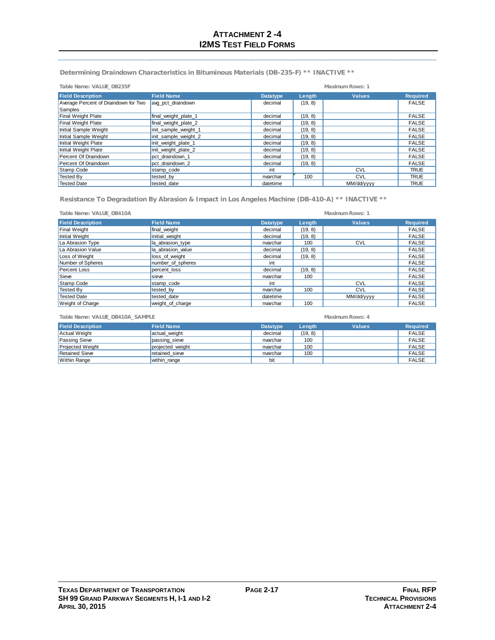**Determining Draindown Characteristics in Bituminous Materials (DB-235-F) \*\* INACTIVE \*\***

| Table Name: VALUE DB235F             |                      | Maximum Rows: 1 |         |               |                 |
|--------------------------------------|----------------------|-----------------|---------|---------------|-----------------|
| <b>Field Description</b>             | <b>Field Name</b>    | <b>Datatype</b> | Length  | <b>Values</b> | <b>Required</b> |
| Average Percent of Draindown for Two | avg pct draindown    | decimal         | (19, 8) |               | <b>FALSE</b>    |
| Samples                              |                      |                 |         |               |                 |
| <b>Final Weight Plate</b>            | final weight plate 1 | decimal         | (19, 8) |               | <b>FALSE</b>    |
| <b>Final Weight Plate</b>            | final_weight_plate_2 | decimal         | (19, 8) |               | <b>FALSE</b>    |
| Initial Sample Weight                | init sample weight 1 | decimal         | (19, 8) |               | <b>FALSE</b>    |
| Initial Sample Weight                | init_sample_weight_2 | decimal         | (19, 8) |               | <b>FALSE</b>    |
| Initial Weight Plate                 | init weight plate 1  | decimal         | (19, 8) |               | <b>FALSE</b>    |
| Initial Weight Plate                 | init weight plate 2  | decimal         | (19, 8) |               | <b>FALSE</b>    |
| Percent Of Draindown                 | pct draindown 1      | decimal         | (19, 8) |               | <b>FALSE</b>    |
| Percent Of Draindown                 | pct draindown 2      | decimal         | (19, 8) |               | <b>FALSE</b>    |
| Stamp Code                           | stamp code           | int             |         | <b>CVL</b>    | <b>TRUE</b>     |
| <b>Tested By</b>                     | tested by            | nvarchar        | 100     | <b>CVL</b>    | <b>TRUE</b>     |
| <b>Tested Date</b>                   | tested date          | datetime        |         | MM/dd/yyyy    | <b>TRUE</b>     |

**Resistance To Degradation By Abrasion & Impact in Los Angeles Machine (DB-410-A) \*\* INACTIVE \*\***

| Table Name: VALUE DB410A |                   |                 |         | Maximum Rows: 1 |                 |
|--------------------------|-------------------|-----------------|---------|-----------------|-----------------|
| <b>Field Description</b> | <b>Field Name</b> | <b>Datatype</b> | Length  | <b>Values</b>   | <b>Required</b> |
| <b>Final Weight</b>      | final weight      | decimal         | (19, 8) |                 | <b>FALSE</b>    |
| Initial Weight           | initial_weight    | decimal         | (19, 8) |                 | <b>FALSE</b>    |
| La Abrasion Type         | la abrasion type  | nvarchar        | 100     | <b>CVL</b>      | <b>FALSE</b>    |
| La Abrasion Value        | la abrasion value | decimal         | (19, 8) |                 | <b>FALSE</b>    |
| Loss of Weight           | loss of weight    | decimal         | (19, 8) |                 | <b>FALSE</b>    |
| Number of Spheres        | number_of_spheres | int             |         |                 | <b>FALSE</b>    |
| <b>Percent Loss</b>      | percent loss      | decimal         | (19, 8) |                 | <b>FALSE</b>    |
| Sieve                    | sieve             | nvarchar        | 100     |                 | <b>FALSE</b>    |
| Stamp Code               | stamp code        | int             |         | <b>CVL</b>      | <b>FALSE</b>    |
| Tested By                | tested by         | nvarchar        | 100     | <b>CVL</b>      | <b>FALSE</b>    |
| <b>Tested Date</b>       | tested date       | datetime        |         | MM/dd/yyyy      | <b>FALSE</b>    |
| <b>Weight of Charge</b>  | weight of charge  | nvarchar        | 100     |                 | <b>FALSE</b>    |

Retained Sieve **retained\_sieve retained** invarchar 100 FALSE Within Range | within\_range bit | FALSE

**Field Description Field Name Datatype Length Values Required** Actual Weight |actual\_weight decimal | (19, 8) | FALSE Passing Sieve |passing\_sieve | nvarchar | 100 | FALSE Projected Weight **projected\_weight** nvarchar 100 | nvarchar 100 | FALSE **Table Name: VALUE\_DB410A\_SAMPLE Maximum Rows: 4**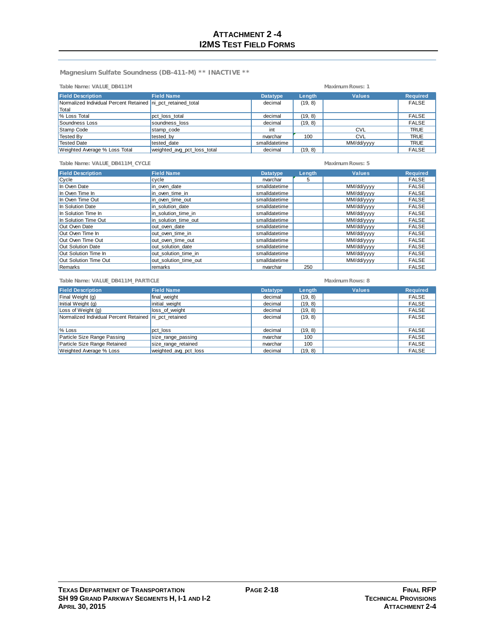**Magnesium Sulfate Soundness (DB-411-M) \*\* INACTIVE \*\***

| Table Name: VALUE DB411M                                     |                             | Maximum Rows: 1 |         |               |                 |
|--------------------------------------------------------------|-----------------------------|-----------------|---------|---------------|-----------------|
| <b>Field Description</b>                                     | <b>Field Name</b>           | <b>Datatype</b> | Length  | <b>Values</b> | <b>Required</b> |
| Normalized Individual Percent Retained ni pct retained total |                             | decimal         | (19, 8) |               | <b>FALSE</b>    |
| Total                                                        |                             |                 |         |               |                 |
| % Loss Total                                                 | pct loss total              | decimal         | (19, 8) |               | <b>FALSE</b>    |
| Soundness Loss                                               | soundness loss              | decimal         | (19, 8) |               | <b>FALSE</b>    |
| Stamp Code                                                   | stamp_code                  | int             |         | <b>CVL</b>    | <b>TRUE</b>     |
| Tested By                                                    | tested by                   | nvarchar        | 100     | <b>CVL</b>    | <b>TRUE</b>     |
| <b>Tested Date</b>                                           | tested date                 | smalldatetime   |         | MM/dd/yyyy    | <b>TRUE</b>     |
| Weighted Average % Loss Total                                | weighted_avg_pct_loss_total | decimal         | (19, 8) |               | <b>FALSE</b>    |

| Table Name: VALUE DB411M CYCLE |                       |                 | Maximum Rows: 5 |               |                 |  |  |
|--------------------------------|-----------------------|-----------------|-----------------|---------------|-----------------|--|--|
| <b>Field Description</b>       | <b>Field Name</b>     | <b>Datatype</b> | Length          | <b>Values</b> | <b>Required</b> |  |  |
| Cycle                          | cycle                 | nvarchar        | 5               |               | <b>FALSE</b>    |  |  |
| In Oven Date                   | in oven date          | smalldatetime   |                 | MM/dd/yyyy    | <b>FALSE</b>    |  |  |
| In Oven Time In                | in oven time in       | smalldatetime   |                 | MM/dd/yyyy    | <b>FALSE</b>    |  |  |
| In Oven Time Out               | in oven time out      | smalldatetime   |                 | MM/dd/yyyy    | <b>FALSE</b>    |  |  |
| In Solution Date               | in solution date      | smalldatetime   |                 | MM/dd/yyyy    | <b>FALSE</b>    |  |  |
| In Solution Time In            | in solution time in   | smalldatetime   |                 | MM/dd/yyyy    | <b>FALSE</b>    |  |  |
| In Solution Time Out           | in solution time out  | smalldatetime   |                 | MM/dd/yyyy    | <b>FALSE</b>    |  |  |
| Out Oven Date                  | out oven date         | smalldatetime   |                 | MM/dd/yyyy    | <b>FALSE</b>    |  |  |
| Out Oven Time In               | out oven time in      | smalldatetime   |                 | MM/dd/yyyy    | <b>FALSE</b>    |  |  |
| Out Oven Time Out              | out oven time out     | smalldatetime   |                 | MM/dd/yyyy    | <b>FALSE</b>    |  |  |
| Out Solution Date              | out solution date     | smalldatetime   |                 | MM/dd/yyyy    | <b>FALSE</b>    |  |  |
| Out Solution Time In           | out solution time in  | smalldatetime   |                 | MM/dd/yyyy    | <b>FALSE</b>    |  |  |
| Out Solution Time Out          | out solution time out | smalldatetime   |                 | MM/dd/yyyy    | <b>FALSE</b>    |  |  |
| Remarks                        | remarks               | nvarchar        | 250             |               | <b>FALSE</b>    |  |  |

| Table Name: VALUE DB411M PARTICLE                      |                       | Maximum Rows: 8 |         |               |                 |
|--------------------------------------------------------|-----------------------|-----------------|---------|---------------|-----------------|
| <b>Field Description</b>                               | <b>Field Name</b>     | <b>Datatype</b> | Length  | <b>Values</b> | <b>Required</b> |
| Final Weight (g)                                       | final weight          | decimal         | (19, 8) |               | <b>FALSE</b>    |
| Initial Weight (g)                                     | initial weight        | decimal         | (19, 8) |               | <b>FALSE</b>    |
| Loss of Weight (g)                                     | loss of weight        | decimal         | (19, 8) |               | <b>FALSE</b>    |
| Normalized Individual Percent Retained ni pct retained |                       | decimal         | (19, 8) |               | <b>FALSE</b>    |
| % Loss                                                 | pct loss              | decimal         | (19, 8) |               | <b>FALSE</b>    |
| Particle Size Range Passing                            | size_range_passing    | nvarchar        | 100     |               | <b>FALSE</b>    |
| Particle Size Range Retained                           | size_range_retained   | nvarchar        | 100     |               | <b>FALSE</b>    |
| Weighted Average % Loss                                | weighted avg pct loss | decimal         | (19, 8) |               | <b>FALSE</b>    |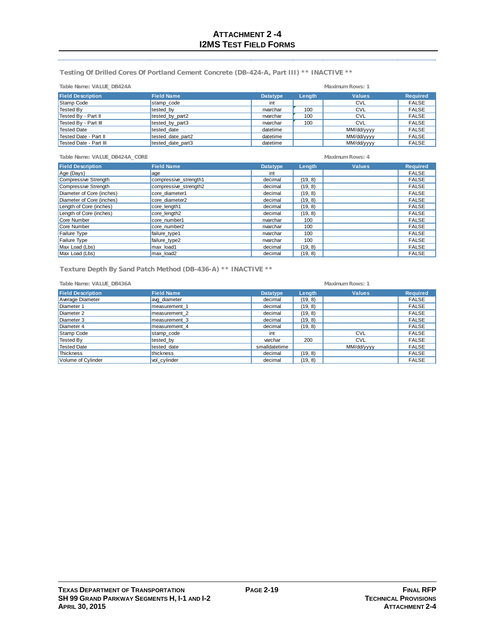**Testing Of Drilled Cores Of Portland Cement Concrete (DB-424-A, Part III) \*\* INACTIVE \*\***

| Table Name: VALUE DB424A |                   |                 | Maximum Rows: 1 |               |                 |
|--------------------------|-------------------|-----------------|-----------------|---------------|-----------------|
| <b>Field Description</b> | <b>Field Name</b> | <b>Datatype</b> | Length          | <b>Values</b> | <b>Required</b> |
| Stamp Code               | stamp code        | int             |                 | <b>CVL</b>    | <b>FALSE</b>    |
| <b>Tested By</b>         | tested by         | nvarchar        | 100             | <b>CVL</b>    | <b>FALSE</b>    |
| Tested By - Part II      | tested by part2   | nvarchar        | 100             | <b>CVL</b>    | <b>FALSE</b>    |
| Tested By - Part III     | tested by part3   | nvarchar        | 100             | <b>CVL</b>    | <b>FALSE</b>    |
| <b>Tested Date</b>       | tested date       | datetime        |                 | MM/dd/yyyy    | <b>FALSE</b>    |
| Tested Date - Part II    | tested date part2 | datetime        |                 | MM/dd/yyyy    | <b>FALSE</b>    |
| Tested Date - Part III   | tested date part3 | datetime        |                 | MM/dd/yyyy    | <b>FALSE</b>    |

**Table Name: VALUE\_DB424A\_CORE Maximum Rows: 4**

| <b>Field Description</b>  | <b>Field Name</b>     | <b>Datatype</b> | Length  | <b>Values</b> | <b>Required</b> |
|---------------------------|-----------------------|-----------------|---------|---------------|-----------------|
| Age (Days)                | age                   | int             |         |               | <b>FALSE</b>    |
| Compressive Strength      | compressive_strength1 | decimal         | (19, 8) |               | <b>FALSE</b>    |
| Compressive Strength      | compressive strength2 | decimal         | (19, 8) |               | <b>FALSE</b>    |
| Diameter of Core (inches) | core diameter1        | decimal         | (19, 8) |               | <b>FALSE</b>    |
| Diameter of Core (inches) | core diameter2        | decimal         | (19, 8) |               | <b>FALSE</b>    |
| Length of Core (inches)   | core length1          | decimal         | (19, 8) |               | <b>FALSE</b>    |
| Length of Core (inches)   | core length2          | decimal         | (19, 8) |               | <b>FALSE</b>    |
| Core Number               | core number1          | nvarchar        | 100     |               | <b>FALSE</b>    |
| Core Number               | core number2          | nvarchar        | 100     |               | <b>FALSE</b>    |
| Failure Type              | failure type1         | nvarchar        | 100     |               | <b>FALSE</b>    |
| <b>Failure Type</b>       | failure type2         | nvarchar        | 100     |               | <b>FALSE</b>    |
| Max Load (Lbs)            | max load1             | decimal         | (19, 8) |               | <b>FALSE</b>    |
| Max Load (Lbs)            | max load2             | decimal         | (19, 8) |               | <b>FALSE</b>    |

**Texture Depth By Sand Patch Method (DB-436-A) \*\* INACTIVE \*\***

| Table Name: VALUE DB436A |                   |                 |         | Maximum Rows: 1 |                 |
|--------------------------|-------------------|-----------------|---------|-----------------|-----------------|
| <b>Field Description</b> | <b>Field Name</b> | <b>Datatype</b> | Length  | <b>Values</b>   | <b>Required</b> |
| Average Diameter         | avg diameter      | decimal         | (19, 8) |                 | <b>FALSE</b>    |
| Diameter 1               | measurement 1     | decimal         | (19, 8) |                 | <b>FALSE</b>    |
| Diameter 2               | measurement 2     | decimal         | (19, 8) |                 | <b>FALSE</b>    |
| Diameter 3               | measurement 3     | decimal         | (19, 8) |                 | <b>FALSE</b>    |
| Diameter 4               | measurement 4     | decimal         | (19, 8) |                 | <b>FALSE</b>    |
| Stamp Code               | stamp_code        | int             |         | <b>CVL</b>      | <b>FALSE</b>    |
| Tested By                | tested by         | varchar         | 200     | <b>CVL</b>      | <b>FALSE</b>    |
| Tested Date              | tested date       | smalldatetime   |         | MM/dd/yyyy      | <b>FALSE</b>    |
| <b>Thickness</b>         | thickness         | decimal         | (19, 8) |                 | <b>FALSE</b>    |
| Volume of Cylinder       | vol cylinder      | decimal         | (19, 8) |                 | <b>FALSE</b>    |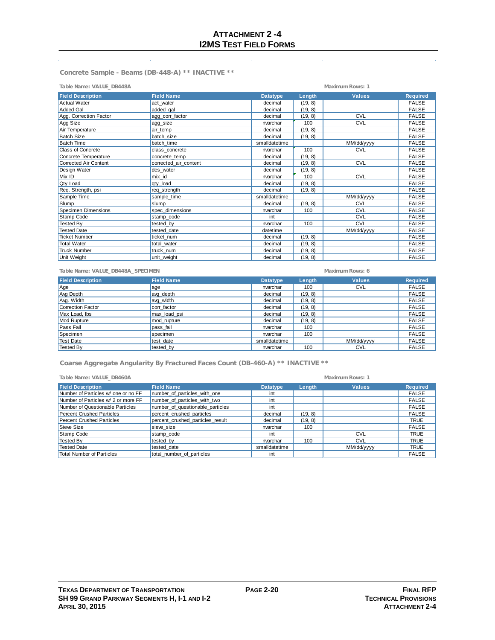**Concrete Sample - Beams (DB-448-A) \*\* INACTIVE \*\***

| Table Name: VALUE_DB448A   |                       |                 |         | Maximum Rows: 1 |                 |
|----------------------------|-----------------------|-----------------|---------|-----------------|-----------------|
| <b>Field Description</b>   | <b>Field Name</b>     | <b>Datatype</b> | Length  | <b>Values</b>   | <b>Required</b> |
| <b>Actual Water</b>        | act water             | decimal         | (19, 8) |                 | <b>FALSE</b>    |
| <b>Added Gal</b>           | added gal             | decimal         | (19, 8) |                 | <b>FALSE</b>    |
| Agg. Correction Factor     | agg corr factor       | decimal         | (19, 8) | <b>CVL</b>      | <b>FALSE</b>    |
| Agg Size                   | agg_size              | nvarchar        | 100     | <b>CVL</b>      | <b>FALSE</b>    |
| Air Temperature            | air temp              | decimal         | (19, 8) |                 | <b>FALSE</b>    |
| <b>Batch Size</b>          | batch size            | decimal         | (19, 8) |                 | <b>FALSE</b>    |
| <b>Batch Time</b>          | batch time            | smalldatetime   |         | MM/dd/yyyy      | <b>FALSE</b>    |
| Class of Concrete          | class_concrete        | nvarchar        | 100     | <b>CVL</b>      | <b>FALSE</b>    |
| Concrete Temperature       | concrete temp         | decimal         | (19, 8) |                 | <b>FALSE</b>    |
| Corrected Air Content      | corrected air content | decimal         | (19, 8) | <b>CVL</b>      | <b>FALSE</b>    |
| Design Water               | des water             | decimal         | (19, 8) |                 | <b>FALSE</b>    |
| Mix ID                     | mix id                | nvarchar        | 100     | <b>CVL</b>      | <b>FALSE</b>    |
| <b>Qty Load</b>            | qty_load              | decimal         | (19, 8) |                 | <b>FALSE</b>    |
| Req. Strength, psi         | req_strength          | decimal         | (19, 8) |                 | <b>FALSE</b>    |
| Sample Time                | sample time           | smalldatetime   |         | MM/dd/yyyy      | <b>FALSE</b>    |
| Slump                      | slump                 | decimal         | (19, 8) | <b>CVL</b>      | <b>FALSE</b>    |
| <b>Specimen Dimensions</b> | spec dimensions       | nvarchar        | 100     | CVL             | <b>FALSE</b>    |
| Stamp Code                 | stamp code            | int             |         | <b>CVL</b>      | <b>FALSE</b>    |
| <b>Tested By</b>           | tested by             | nvarchar        | 100     | <b>CVL</b>      | <b>FALSE</b>    |
| <b>Tested Date</b>         | tested date           | datetime        |         | MM/dd/yyyy      | <b>FALSE</b>    |
| <b>Ticket Number</b>       | ticket num            | decimal         | (19, 8) |                 | <b>FALSE</b>    |
| <b>Total Water</b>         | total water           | decimal         | (19, 8) |                 | <b>FALSE</b>    |
| <b>Truck Number</b>        | truck num             | decimal         | (19, 8) |                 | <b>FALSE</b>    |
| Unit Weight                | unit weight           | decimal         | (19, 8) |                 | <b>FALSE</b>    |

| Table Name: VALUE DB448A SPECIMEN |                   |               | Maximum Rows: 6<br><b>Values</b><br><b>Datatype</b><br>Length |            |                 |
|-----------------------------------|-------------------|---------------|---------------------------------------------------------------|------------|-----------------|
| <b>Field Description</b>          | <b>Field Name</b> |               |                                                               |            | <b>Required</b> |
| Age                               | age               | nvarchar      | 100                                                           | <b>CVL</b> | <b>FALSE</b>    |
| Avg Depth                         | avg_depth         | decimal       | (19, 8)                                                       |            | <b>FALSE</b>    |
| Avg. Width                        | avg_width         | decimal       | (19, 8)                                                       |            | <b>FALSE</b>    |
| Correction Factor                 | corr factor       | decimal       | (19, 8)                                                       |            | <b>FALSE</b>    |
| Max Load, lbs                     | max_load_psi      | decimal       | (19, 8)                                                       |            | <b>FALSE</b>    |
| Mod Rupture                       | mod rupture       | decimal       | (19, 8)                                                       |            | <b>FALSE</b>    |
| Pass Fail                         | pass fail         | nvarchar      | 100                                                           |            | <b>FALSE</b>    |
| Specimen                          | specimen          | nvarchar      | 100                                                           |            | <b>FALSE</b>    |
| Test Date                         | test date         | smalldatetime |                                                               | MM/dd/yyyy | <b>FALSE</b>    |
| Tested By                         | tested by         | nvarchar      | 100                                                           | <b>CVL</b> | <b>FALSE</b>    |

**Coarse Aggregate Angularity By Fractured Faces Count (DB-460-A) \*\* INACTIVE \*\***

| Table Name: VALUE_DB460A            |                                  |                 |         | Maximum Rows: 1 |                 |
|-------------------------------------|----------------------------------|-----------------|---------|-----------------|-----------------|
| <b>Field Description</b>            | <b>Field Name</b>                | <b>Datatype</b> | Length  | <b>Values</b>   | <b>Required</b> |
| Number of Particles w/ one or no FF | number of particles with one     | int             |         |                 | <b>FALSE</b>    |
| Number of Particles w/ 2 or more FF | number of particles with two     | int             |         |                 | <b>FALSE</b>    |
| Number of Questionable Particles    | number of questionable particles | int             |         |                 | <b>FALSE</b>    |
| <b>Percent Crushed Particles</b>    | percent crushed particles        | decimal         | (19, 8) |                 | <b>FALSE</b>    |
| <b>Percent Crushed Particles</b>    | percent crushed particles result | decimal         | (19, 8) |                 | <b>TRUE</b>     |
| Sieve Size                          | sieve size                       | nvarchar        | 100     |                 | <b>FALSE</b>    |
| Stamp Code                          | stamp code                       | int             |         | <b>CVL</b>      | <b>TRUE</b>     |
| Tested By                           | tested by                        | nvarchar        | 100     | <b>CVL</b>      | <b>TRUE</b>     |
| <b>Tested Date</b>                  | tested date                      | smalldatetime   |         | MM/dd/yyyy      | <b>TRUE</b>     |
| <b>Total Number of Particles</b>    | total number of particles        | int             |         |                 | <b>FALSE</b>    |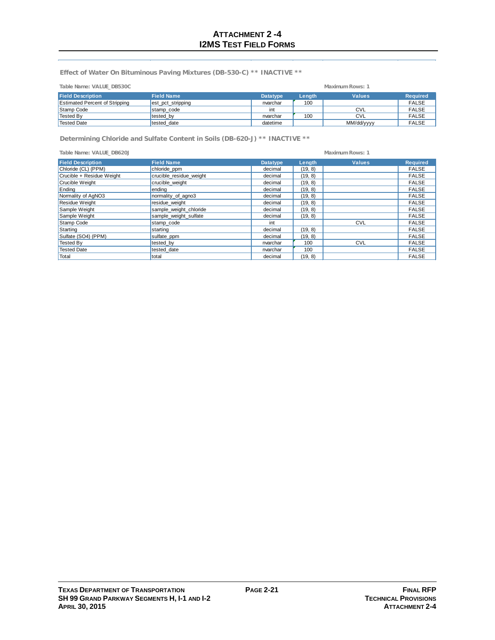**Effect of Water On Bituminous Paving Mixtures (DB-530-C) \*\* INACTIVE \*\***

| Table Name: VALUE DB530C              | Maximum Rows: 1   |                 |        |               |                 |
|---------------------------------------|-------------------|-----------------|--------|---------------|-----------------|
| <b>Field Description</b>              | <b>Field Name</b> | <b>Datatype</b> | Length | <b>Values</b> | <b>Required</b> |
| <b>Estimated Percent of Stripping</b> | est pct stripping | nvarchar        | 100    |               | <b>FALSE</b>    |
| Stamp Code                            | stamp code        | int             |        | <b>CVL</b>    | <b>FALSE</b>    |
| Tested By                             | tested by         | nvarchar        | 100    | CVL           | <b>FALSE</b>    |
| Tested Date                           | tested date       | datetime        |        | MM/dd/yyyy    | <b>FALSE</b>    |

**Determining Chloride and Sulfate Content in Soils (DB-620-J) \*\* INACTIVE \*\***

| Table Name: VALUE DB620J  | Maximum Rows: 1         |                 |         |               |                 |
|---------------------------|-------------------------|-----------------|---------|---------------|-----------------|
| <b>Field Description</b>  | <b>Field Name</b>       | <b>Datatype</b> | Length  | <b>Values</b> | <b>Required</b> |
| Chloride (CL) (PPM)       | chloride_ppm            | decimal         | (19, 8) |               | <b>FALSE</b>    |
| Crucible + Residue Weight | crucible residue weight | decimal         | (19, 8) |               | <b>FALSE</b>    |
| Crucible Weight           | crucible weight         | decimal         | (19, 8) |               | <b>FALSE</b>    |
| Ending                    | ending                  | decimal         | (19, 8) |               | <b>FALSE</b>    |
| Normality of AgNO3        | normality of agno3      | decimal         | (19, 8) |               | <b>FALSE</b>    |
| Residue Weight            | residue weight          | decimal         | (19, 8) |               | <b>FALSE</b>    |
| Sample Weight             | sample_weight_chloride  | decimal         | (19, 8) |               | <b>FALSE</b>    |
| Sample Weight             | sample weight sulfate   | decimal         | (19, 8) |               | <b>FALSE</b>    |
| Stamp Code                | stamp code              | int             |         | <b>CVL</b>    | <b>FALSE</b>    |
| Starting                  | starting                | decimal         | (19, 8) |               | <b>FALSE</b>    |
| Sulfate (SO4) (PPM)       | sulfate_ppm             | decimal         | (19, 8) |               | <b>FALSE</b>    |
| Tested By                 | tested by               | nvarchar        | 100     | <b>CVL</b>    | <b>FALSE</b>    |
| Tested Date               | tested date             | nvarchar        | 100     |               | <b>FALSE</b>    |
| Total                     | total                   | decimal         | (19, 8) |               | <b>FALSE</b>    |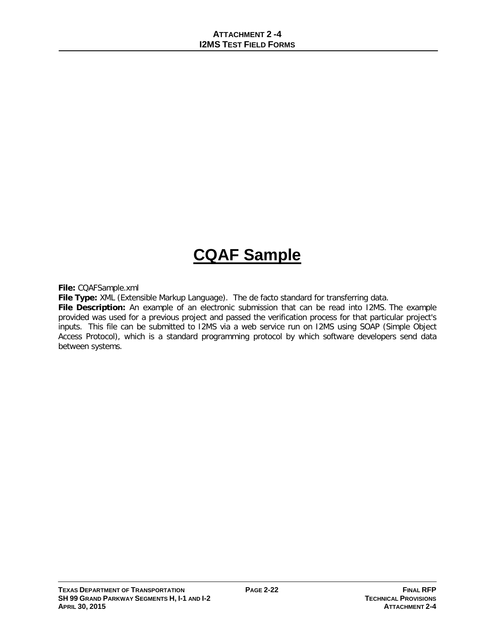# **CQAF Sample**

**File:** CQAFSample.xml

**File Type:** XML (Extensible Markup Language). The de facto standard for transferring data.

**File Description:** An example of an electronic submission that can be read into I2MS. The example provided was used for a previous project and passed the verification process for that particular project's inputs. This file can be submitted to I2MS via a web service run on I2MS using SOAP (Simple Object Access Protocol), which is a standard programming protocol by which software developers send data between systems.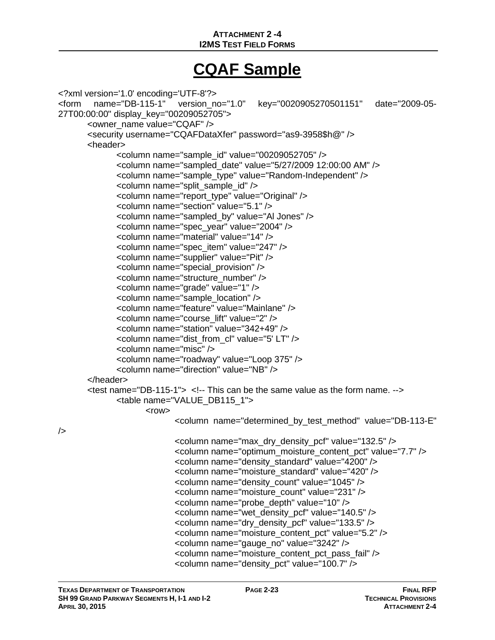## **ATTACHMENT 2 -4 I2MS TEST FIELD FORMS**

## **CQAF Sample**

```
<?xml version='1.0' encoding='UTF-8'?>
<form name="DB-115-1" version_no="1.0" key="0020905270501151" date="2009-05-
27T00:00:00" display_key="00209052705">
      <owner_name value="CQAF" />
      <security username="CQAFDataXfer" password="as9-3958$h@" />
      <header>
             <column name="sample_id" value="00209052705" />
             <column name="sampled_date" value="5/27/2009 12:00:00 AM" />
             <column name="sample_type" value="Random-Independent" />
             <column name="split_sample_id" />
             <column name="report_type" value="Original" />
             <column name="section" value="5.1" />
             <column name="sampled_by" value="Al Jones" />
             <column name="spec_year" value="2004" />
             <column name="material" value="14" />
             <column name="spec_item" value="247" />
             <column name="supplier" value="Pit" />
             <column name="special_provision" />
             <column name="structure_number" />
             <column name="grade" value="1" />
             <column name="sample_location" />
             <column name="feature" value="Mainlane" />
             <column name="course_lift" value="2" />
             <column name="station" value="342+49" />
             <column name="dist_from_cl" value="5' LT" />
             <column name="misc" />
             <column name="roadway" value="Loop 375" />
             <column name="direction" value="NB" />
      </header>
      \epsilon -test name="DB-115-1"> \epsilon!-- This can be the same value as the form name. \epsilon-
             <table name="VALUE_DB115_1">
                    <row><column name="determined_by_test_method" value="DB-113-E" 
/>
                           <column name="max_dry_density_pcf" value="132.5" />
                           <column name="optimum_moisture_content_pct" value="7.7" />
                           <column name="density_standard" value="4200" />
                           <column name="moisture_standard" value="420" />
                           <column name="density_count" value="1045" />
                           <column name="moisture_count" value="231" />
                           <column name="probe_depth" value="10" />
                           <column name="wet_density_pcf" value="140.5" />
                           <column name="dry_density_pcf" value="133.5" />
                           <column name="moisture_content_pct" value="5.2" />
                           <column name="gauge_no" value="3242" />
                           <column name="moisture_content_pct_pass_fail" />
                           <column name="density_pct" value="100.7" />
```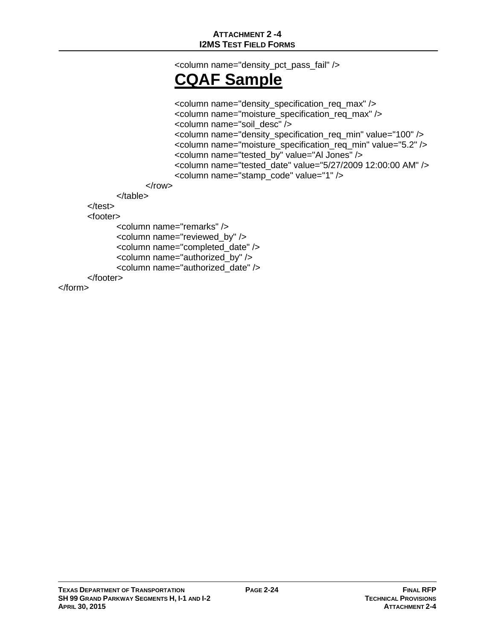<column name="density\_pct\_pass\_fail" />

# **CQAF Sample**

```
<column name="density_specification_req_max" />
                    <column name="moisture_specification_req_max" />
                    <column name="soil_desc" />
                    <column name="density_specification_req_min" value="100" />
                    <column name="moisture_specification_req_min" value="5.2" />
                    <column name="tested_by" value="Al Jones" />
                    <column name="tested_date" value="5/27/2009 12:00:00 AM" />
                    <column name="stamp_code" value="1" />
             </row></table>
</test>
<footer>
      <column name="remarks" />
      <column name="reviewed_by" />
      <column name="completed_date" />
      <column name="authorized_by" />
      <column name="authorized_date" />
</footer>
```
</form>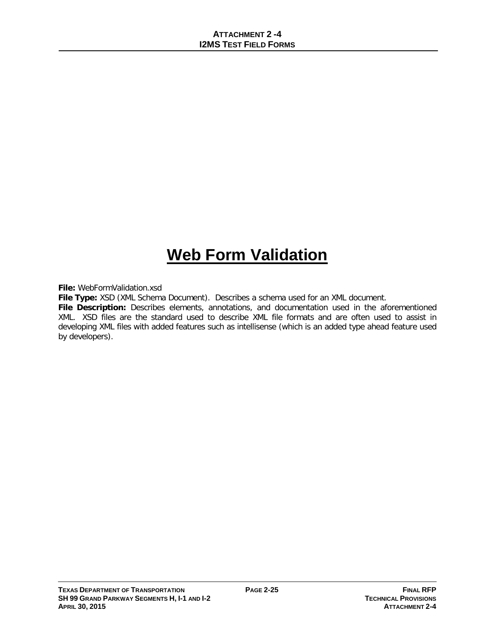# **Web Form Validation**

**File:** WebFormValidation.xsd

**File Type:** XSD (XML Schema Document). Describes a schema used for an XML document.

**File Description:** Describes elements, annotations, and documentation used in the aforementioned XML. XSD files are the standard used to describe XML file formats and are often used to assist in developing XML files with added features such as intellisense (which is an added type ahead feature used by developers).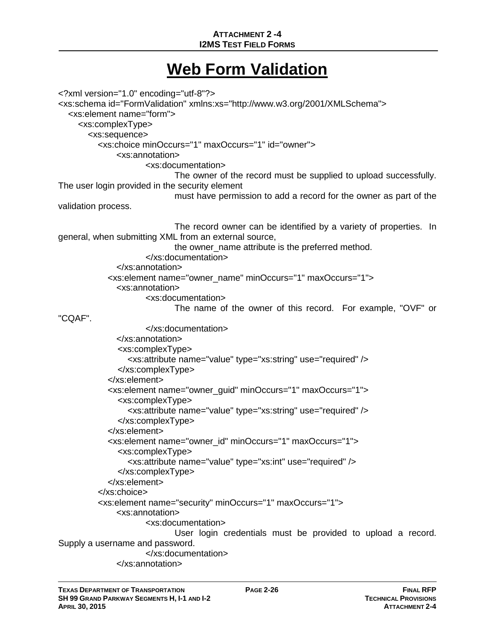## **ATTACHMENT 2 -4 I2MS TEST FIELD FORMS**

## **Web Form Validation**

<?xml version="1.0" encoding="utf-8"?> <xs:schema id="FormValidation" xmlns:xs="http://www.w3.org/2001/XMLSchema"> <xs:element name="form"> <xs:complexType> <xs:sequence> <xs:choice minOccurs="1" maxOccurs="1" id="owner"> <xs:annotation> <xs:documentation> The owner of the record must be supplied to upload successfully. The user login provided in the security element must have permission to add a record for the owner as part of the validation process. The record owner can be identified by a variety of properties. In general, when submitting XML from an external source, the owner\_name attribute is the preferred method. </xs:documentation> </xs:annotation> <xs:element name="owner\_name" minOccurs="1" maxOccurs="1"> <xs:annotation> <xs:documentation> The name of the owner of this record. For example, "OVF" or "CQAF". </xs:documentation> </xs:annotation> <xs:complexType> <xs:attribute name="value" type="xs:string" use="required" /> </xs:complexType> </xs:element> <xs:element name="owner\_guid" minOccurs="1" maxOccurs="1"> <xs:complexType> <xs:attribute name="value" type="xs:string" use="required" /> </xs:complexType> </xs:element> <xs:element name="owner\_id" minOccurs="1" maxOccurs="1"> <xs:complexType> <xs:attribute name="value" type="xs:int" use="required" /> </xs:complexType> </xs:element> </xs:choice> <xs:element name="security" minOccurs="1" maxOccurs="1"> <xs:annotation> <xs:documentation> User login credentials must be provided to upload a record. Supply a username and password. </xs:documentation> </xs:annotation>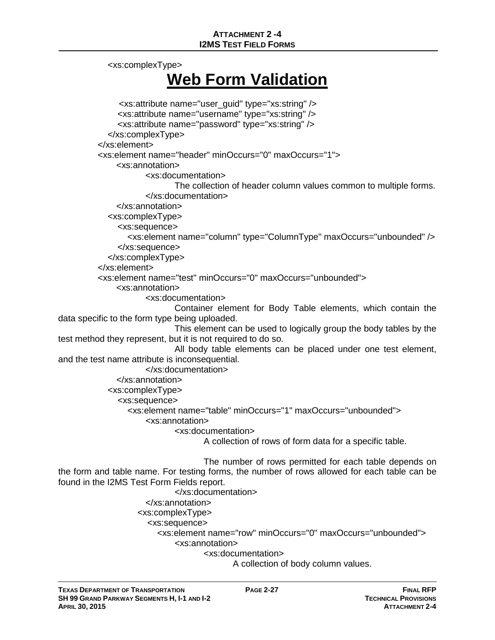<xs:complexType>

# **Web Form Validation**

```
<xs:attribute name="user_guid" type="xs:string" />
               <xs:attribute name="username" type="xs:string" />
               <xs:attribute name="password" type="xs:string" />
             </xs:complexType>
          </xs:element>
          <xs:element name="header" minOccurs="0" maxOccurs="1">
               <xs:annotation>
                      <xs:documentation>
                             The collection of header column values common to multiple forms.
                      </xs:documentation>
               </xs:annotation>
             <xs:complexType>
               <xs:sequence>
                  <xs:element name="column" type="ColumnType" maxOccurs="unbounded" />
               </xs:sequence>
             </xs:complexType>
          </xs:element>
          <xs:element name="test" minOccurs="0" maxOccurs="unbounded">
               <xs:annotation>
                      <xs:documentation>
                             Container element for Body Table elements, which contain the 
data specific to the form type being uploaded.
                             This element can be used to logically group the body tables by the 
test method they represent, but it is not required to do so.
                             All body table elements can be placed under one test element, 
and the test name attribute is inconsequential.
                      </xs:documentation>
               </xs:annotation>
             <xs:complexType>
               <xs:sequence>
                  <xs:element name="table" minOccurs="1" maxOccurs="unbounded">
                      <xs:annotation>
                             <xs:documentation>
                                    A collection of rows of form data for a specific table.
                                    The number of rows permitted for each table depends on 
the form and table name. For testing forms, the number of rows allowed for each table can be 
found in the I2MS Test Form Fields report.
                             </xs:documentation>
                      </xs:annotation>
                    <xs:complexType>
```
<xs:sequence>

<xs:element name="row" minOccurs="0" maxOccurs="unbounded">

<xs:annotation>

<xs:documentation>

A collection of body column values.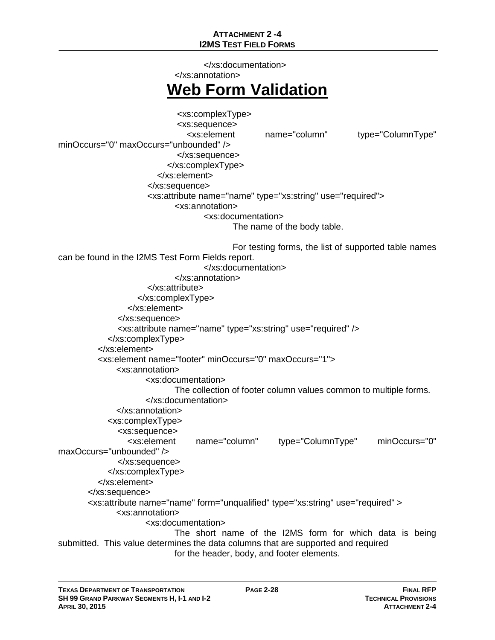## **ATTACHMENT 2 -4 I2MS TEST FIELD FORMS**

 </xs:documentation> </xs:annotation> **Web Form Validation** <xs:complexType> <xs:sequence> <xs:element name="column" type="ColumnType" minOccurs="0" maxOccurs="unbounded" /> </xs:sequence> </xs:complexType> </xs:element> </xs:sequence> <xs:attribute name="name" type="xs:string" use="required"> <xs:annotation> <xs:documentation> The name of the body table. For testing forms, the list of supported table names can be found in the I2MS Test Form Fields report. </xs:documentation> </xs:annotation> </xs:attribute> </xs:complexType> </xs:element> </xs:sequence> <xs:attribute name="name" type="xs:string" use="required" /> </xs:complexType> </xs:element> <xs:element name="footer" minOccurs="0" maxOccurs="1"> <xs:annotation> <xs:documentation> The collection of footer column values common to multiple forms. </xs:documentation> </xs:annotation> <xs:complexType> <xs:sequence> <xs:element name="column" type="ColumnType" minOccurs="0" maxOccurs="unbounded" /> </xs:sequence> </xs:complexType> </xs:element> </xs:sequence> <xs:attribute name="name" form="unqualified" type="xs:string" use="required" > <xs:annotation> <xs:documentation> The short name of the I2MS form for which data is being submitted. This value determines the data columns that are supported and required for the header, body, and footer elements.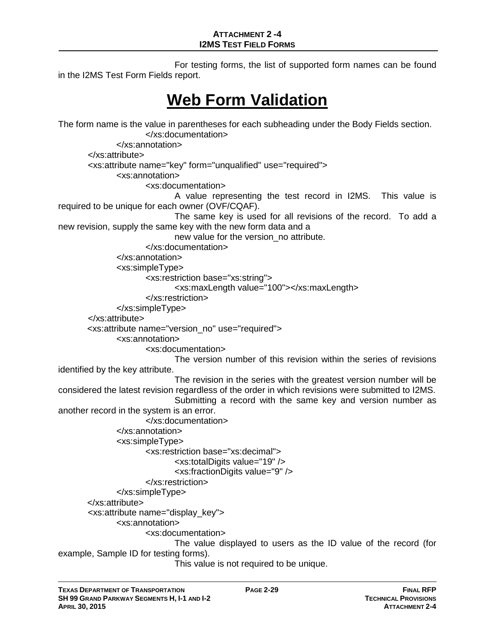For testing forms, the list of supported form names can be found in the I2MS Test Form Fields report.

## **Web Form Validation**

The form name is the value in parentheses for each subheading under the Body Fields section. </xs:documentation> </xs:annotation> </xs:attribute> <xs:attribute name="key" form="unqualified" use="required"> <xs:annotation> <xs:documentation> A value representing the test record in I2MS. This value is required to be unique for each owner (OVF/CQAF). The same key is used for all revisions of the record. To add a new revision, supply the same key with the new form data and a new value for the version\_no attribute. </xs:documentation> </xs:annotation> <xs:simpleType> <xs:restriction base="xs:string"> <xs:maxLength value="100"></xs:maxLength> </xs:restriction> </xs:simpleType> </xs:attribute> <xs:attribute name="version\_no" use="required"> <xs:annotation> <xs:documentation> The version number of this revision within the series of revisions identified by the key attribute. The revision in the series with the greatest version number will be considered the latest revision regardless of the order in which revisions were submitted to I2MS. Submitting a record with the same key and version number as another record in the system is an error. </xs:documentation> </xs:annotation> <xs:simpleType> <xs:restriction base="xs:decimal"> <xs:totalDigits value="19" /> <xs:fractionDigits value="9" /> </xs:restriction> </xs:simpleType> </xs:attribute> <xs:attribute name="display\_key"> <xs:annotation> <xs:documentation> The value displayed to users as the ID value of the record (for example, Sample ID for testing forms). This value is not required to be unique.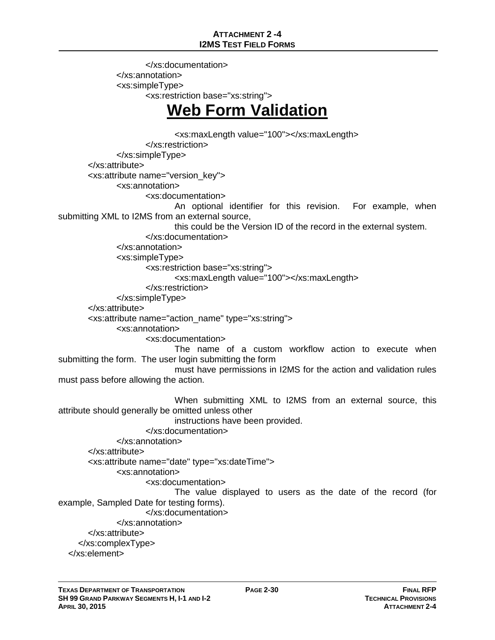</xs:documentation> </xs:annotation> <xs:simpleType> <xs:restriction base="xs:string">

# **Web Form Validation**

<xs:maxLength value="100"></xs:maxLength> </xs:restriction> </xs:simpleType> </xs:attribute> <xs:attribute name="version\_key"> <xs:annotation> <xs:documentation> An optional identifier for this revision. For example, when submitting XML to I2MS from an external source, this could be the Version ID of the record in the external system. </xs:documentation> </xs:annotation> <xs:simpleType> <xs:restriction base="xs:string"> <xs:maxLength value="100"></xs:maxLength> </xs:restriction> </xs:simpleType> </xs:attribute> <xs:attribute name="action\_name" type="xs:string"> <xs:annotation> <xs:documentation> The name of a custom workflow action to execute when submitting the form. The user login submitting the form must have permissions in I2MS for the action and validation rules must pass before allowing the action. When submitting XML to I2MS from an external source, this attribute should generally be omitted unless other instructions have been provided. </xs:documentation> </xs:annotation> </xs:attribute> <xs:attribute name="date" type="xs:dateTime"> <xs:annotation> <xs:documentation> The value displayed to users as the date of the record (for example, Sampled Date for testing forms). </xs:documentation> </xs:annotation> </xs:attribute> </xs:complexType> </xs:element>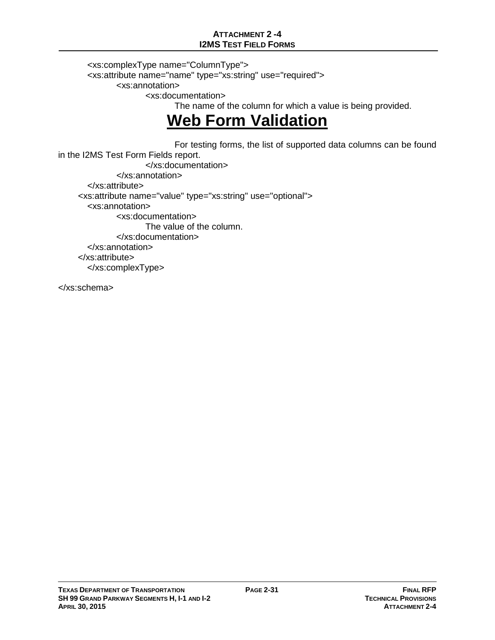## **ATTACHMENT 2 -4 I2MS TEST FIELD FORMS**

<xs:complexType name="ColumnType"> <xs:attribute name="name" type="xs:string" use="required"> <xs:annotation> <xs:documentation> The name of the column for which a value is being provided.

# **Web Form Validation**

 For testing forms, the list of supported data columns can be found in the I2MS Test Form Fields report. </xs:documentation> </xs:annotation> </xs:attribute> <xs:attribute name="value" type="xs:string" use="optional"> <xs:annotation> <xs:documentation> The value of the column. </xs:documentation> </xs:annotation> </xs:attribute> </xs:complexType>

</xs:schema>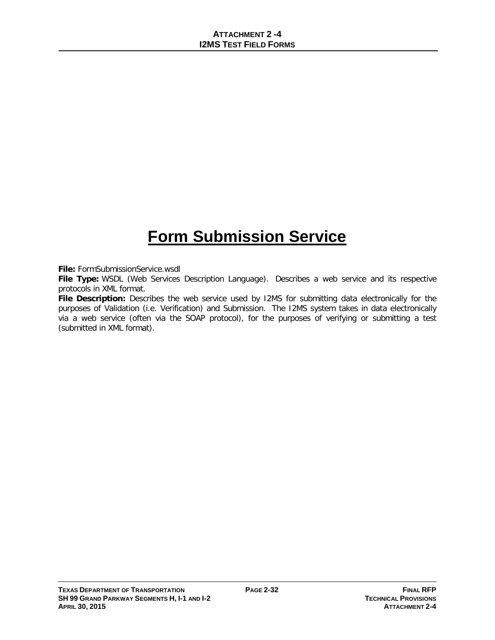# **Form Submission Service**

**File:** FormSubmissionService.wsdl

**File Type:** WSDL (Web Services Description Language). Describes a web service and its respective protocols in XML format.

**File Description:** Describes the web service used by I2MS for submitting data electronically for the purposes of Validation (i.e. Verification) and Submission. The I2MS system takes in data electronically via a web service (often via the SOAP protocol), for the purposes of verifying or submitting a test (submitted in XML format).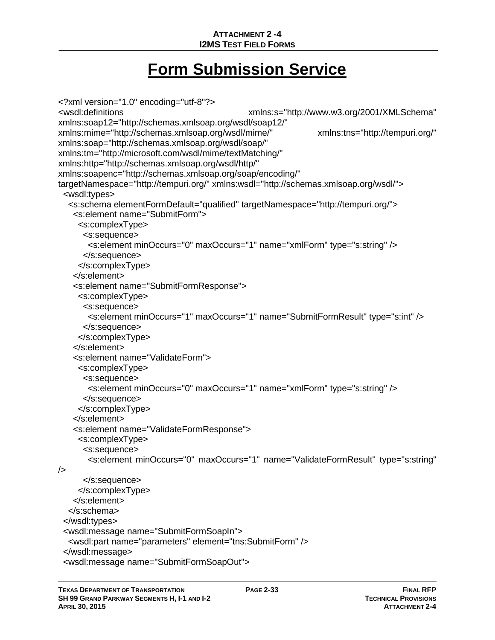# **Form Submission Service**

```
<?xml version="1.0" encoding="utf-8"?>
                                             xmlns:s="http://www.w3.org/2001/XMLSchema"
xmlns:soap12="http://schemas.xmlsoap.org/wsdl/soap12/" 
xmlns:mime="http://schemas.xmlsoap.org/wsdl/mime/" xmlns:tns="http://tempuri.org/" 
xmlns:soap="http://schemas.xmlsoap.org/wsdl/soap/" 
xmlns:tm="http://microsoft.com/wsdl/mime/textMatching/" 
xmlns:http="http://schemas.xmlsoap.org/wsdl/http/" 
xmlns:soapenc="http://schemas.xmlsoap.org/soap/encoding/" 
targetNamespace="http://tempuri.org/" xmlns:wsdl="http://schemas.xmlsoap.org/wsdl/">
  <wsdl:types>
   <s:schema elementFormDefault="qualified" targetNamespace="http://tempuri.org/">
    <s:element name="SubmitForm">
     <s:complexType>
      <s:sequence>
        <s:element minOccurs="0" maxOccurs="1" name="xmlForm" type="s:string" />
       </s:sequence>
     </s:complexType>
    </s:element>
    <s:element name="SubmitFormResponse">
     <s:complexType>
      <s:sequence>
        <s:element minOccurs="1" maxOccurs="1" name="SubmitFormResult" type="s:int" />
      </s:sequence>
     </s:complexType>
    </s:element>
    <s:element name="ValidateForm">
     <s:complexType>
      <s:sequence>
        <s:element minOccurs="0" maxOccurs="1" name="xmlForm" type="s:string" />
      </s:sequence>
     </s:complexType>
    </s:element>
    <s:element name="ValidateFormResponse">
     <s:complexType>
      <s:sequence>
        <s:element minOccurs="0" maxOccurs="1" name="ValidateFormResult" type="s:string" 
/>
      </s:sequence>
     </s:complexType>
    </s:element>
   </s:schema>
  </wsdl:types>
  <wsdl:message name="SubmitFormSoapIn">
   <wsdl:part name="parameters" element="tns:SubmitForm" />
  </wsdl:message>
  <wsdl:message name="SubmitFormSoapOut">
```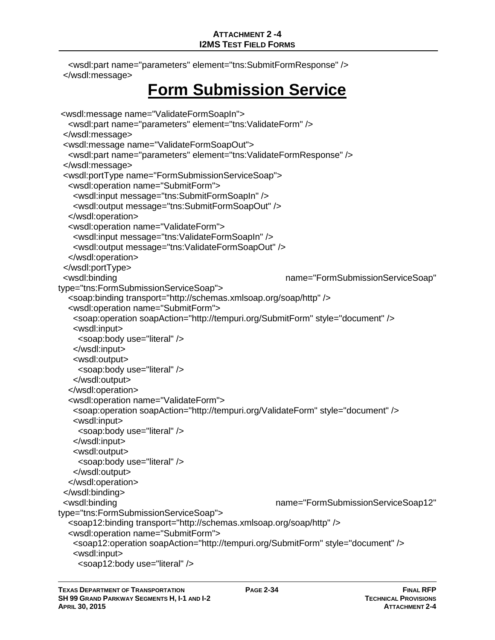<wsdl:part name="parameters" element="tns:SubmitFormResponse" /> </wsdl:message>

# **Form Submission Service**

```
<wsdl:message name="ValidateFormSoapIn">
   <wsdl:part name="parameters" element="tns:ValidateForm" />
  </wsdl:message>
  <wsdl:message name="ValidateFormSoapOut">
   <wsdl:part name="parameters" element="tns:ValidateFormResponse" />
  </wsdl:message>
  <wsdl:portType name="FormSubmissionServiceSoap">
   <wsdl:operation name="SubmitForm">
    <wsdl:input message="tns:SubmitFormSoapIn" />
    <wsdl:output message="tns:SubmitFormSoapOut" />
   </wsdl:operation>
   <wsdl:operation name="ValidateForm">
    <wsdl:input message="tns:ValidateFormSoapIn" />
    <wsdl:output message="tns:ValidateFormSoapOut" />
   </wsdl:operation>
  </wsdl:portType>
  <wsdl:binding name="FormSubmissionServiceSoap" 
type="tns:FormSubmissionServiceSoap">
   <soap:binding transport="http://schemas.xmlsoap.org/soap/http" />
   <wsdl:operation name="SubmitForm">
    <soap:operation soapAction="http://tempuri.org/SubmitForm" style="document" />
    <wsdl:input>
     <soap:body use="literal" />
    </wsdl:input>
    <wsdl:output>
     <soap:body use="literal" />
    </wsdl:output>
   </wsdl:operation>
   <wsdl:operation name="ValidateForm">
    <soap:operation soapAction="http://tempuri.org/ValidateForm" style="document" />
    <wsdl:input>
     <soap:body use="literal" />
    </wsdl:input>
    <wsdl:output>
     <soap:body use="literal" />
    </wsdl:output>
   </wsdl:operation>
 </wsdl:binding>
  <wsdl:binding name="FormSubmissionServiceSoap12" 
type="tns:FormSubmissionServiceSoap">
   <soap12:binding transport="http://schemas.xmlsoap.org/soap/http" />
   <wsdl:operation name="SubmitForm">
    <soap12:operation soapAction="http://tempuri.org/SubmitForm" style="document" />
    <wsdl:input>
     <soap12:body use="literal" />
```